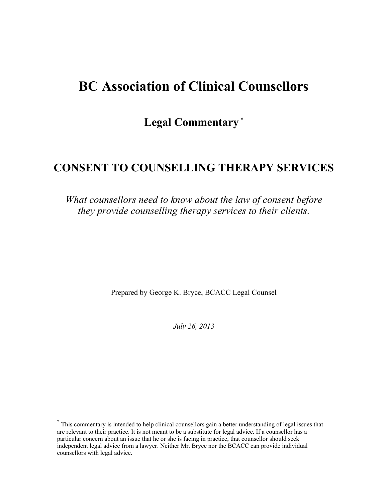# **BC Association of Clinical Counsellors**

**Legal Commentary** \*

## **CONSENT TO COUNSELLING THERAPY SERVICES**

*What counsellors need to know about the law of consent before they provide counselling therapy services to their clients.*

Prepared by George K. Bryce, BCACC Legal Counsel

*July 26, 2013*

<sup>\*</sup> This commentary is intended to help clinical counsellors gain a better understanding of legal issues that are relevant to their practice. It is not meant to be a substitute for legal advice. If a counsellor has a particular concern about an issue that he or she is facing in practice, that counsellor should seek independent legal advice from a lawyer. Neither Mr. Bryce nor the BCACC can provide individual counsellors with legal advice.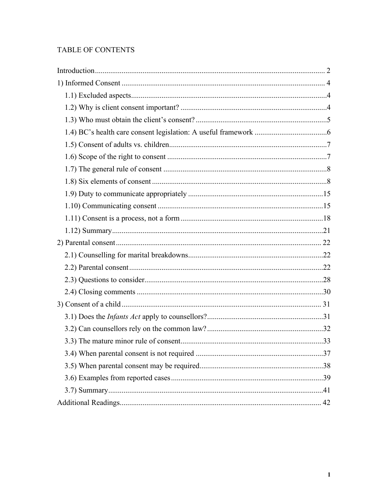## **TABLE OF CONTENTS**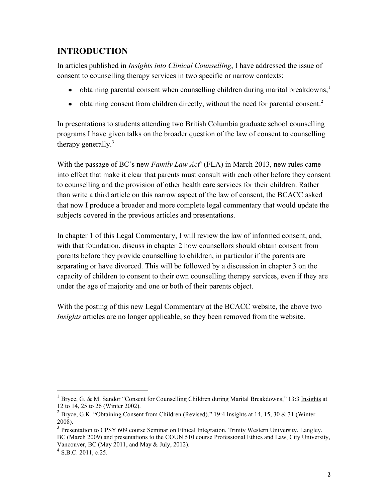## **INTRODUCTION**

In articles published in *Insights into Clinical Counselling*, I have addressed the issue of consent to counselling therapy services in two specific or narrow contexts:

- obtaining parental consent when counselling children during marital breakdowns;<sup>1</sup>
- obtaining consent from children directly, without the need for parental consent.<sup>2</sup>

In presentations to students attending two British Columbia graduate school counselling programs I have given talks on the broader question of the law of consent to counselling therapy generally.<sup>3</sup>

With the passage of BC's new *Family Law Act*<sup>4</sup> (FLA) in March 2013, new rules came into effect that make it clear that parents must consult with each other before they consent to counselling and the provision of other health care services for their children. Rather than write a third article on this narrow aspect of the law of consent, the BCACC asked that now I produce a broader and more complete legal commentary that would update the subjects covered in the previous articles and presentations.

In chapter 1 of this Legal Commentary, I will review the law of informed consent, and, with that foundation, discuss in chapter 2 how counsellors should obtain consent from parents before they provide counselling to children, in particular if the parents are separating or have divorced. This will be followed by a discussion in chapter 3 on the capacity of children to consent to their own counselling therapy services, even if they are under the age of majority and one or both of their parents object.

With the posting of this new Legal Commentary at the BCACC website, the above two *Insights* articles are no longer applicable, so they been removed from the website.

<sup>1</sup> Bryce, G. & M. Sandor "Consent for Counselling Children during Marital Breakdowns," 13:3 Insights at 12 to 14, 25 to 26 (Winter 2002).

<sup>&</sup>lt;sup>2</sup> Bryce, G.K. "Obtaining Consent from Children (Revised)." 19:4 Insights at 14, 15, 30 & 31 (Winter 2008).

<sup>&</sup>lt;sup>3</sup> Presentation to CPSY 609 course Seminar on Ethical Integration, Trinity Western University, Langley, BC (March 2009) and presentations to the COUN 510 course Professional Ethics and Law, City University, Vancouver, BC (May 2011, and May & July, 2012).

 $^{4}$  S.B.C. 2011, c.25.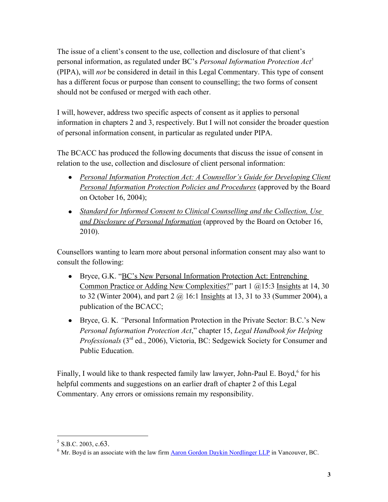The issue of a client's consent to the use, collection and disclosure of that client's personal information, as regulated under BC's *Personal Information Protection Act<sup>5</sup>* (PIPA), will *not* be considered in detail in this Legal Commentary. This type of consent has a different focus or purpose than consent to counselling; the two forms of consent should not be confused or merged with each other.

I will, however, address two specific aspects of consent as it applies to personal information in chapters 2 and 3, respectively. But I will not consider the broader question of personal information consent, in particular as regulated under PIPA.

The BCACC has produced the following documents that discuss the issue of consent in relation to the use, collection and disclosure of client personal information:

- **•** *Personal Information Protection Act: A Counsellor's Guide for Developing Client Personal Information [Protection Policies and Procedures](http://bc-counsellors.org/wp-content/uploads/2011/02/PIPA_ACounsellorsGuideOctober2004.pdf)* (approved by the Board on October 16, 2004);
- *[Standard for Informed Consent to Clinical Counselling and the Collection, Use](http://bc-counsellors.org/wp-content/uploads/2011/02/1BCACC-Standards-Informed-Consent-2010.pdf)  [and Disclosure of Personal Information](http://bc-counsellors.org/wp-content/uploads/2011/02/1BCACC-Standards-Informed-Consent-2010.pdf)* (approved by the Board on October 16, 2010).

Counsellors wanting to learn more about personal information consent may also want to consult the following:

- Bryce, G.K. ["BC's New Personal Information Protection Act: Entrenching](http://bc-counsellors.org/wp-content/uploads/2011/02/1BCACC-Standards-Informed-Consent-2010.pdf)  [Common Practice or Adding New Complexities?](http://bc-counsellors.org/wp-content/uploads/2011/02/1BCACC-Standards-Informed-Consent-2010.pdf)" part 1 @15:3 Insights at 14, 30 to 32 (Winter 2004), and part  $2 \ (\omega 16:1 \text{ Insights at } 13, 31 \text{ to } 33 \text{ (Summer 2004)}, a$ publication of the BCACC;
- Bryce, G. K. *"*Personal Information Protection in the Private Sector: B.C.'s New *Personal Information Protection Act*," chapter 15, *Legal Handbook for Helping Professionals* (3<sup>rd</sup> ed., 2006), Victoria, BC: Sedgewick Society for Consumer and Public Education.

Finally, I would like to thank respected family law lawyer, John-Paul E. Boyd,<sup>6</sup> for his helpful comments and suggestions on an earlier draft of chapter 2 of this Legal Commentary. Any errors or omissions remain my responsibility.

 $<sup>5</sup>$  S.B.C. 2003, c.63.</sup>

 $6$  Mr. Bovd is an associate with the law firm Aaron Gordon [Daykin Nordlinger LLP](http://www.agdnlaw.ca/) in Vancouver, BC.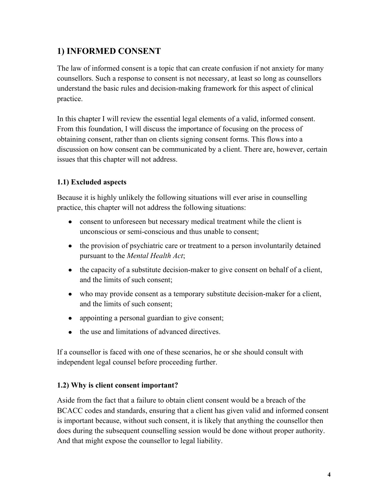## **1) INFORMED CONSENT**

The law of informed consent is a topic that can create confusion if not anxiety for many counsellors. Such a response to consent is not necessary, at least so long as counsellors understand the basic rules and decision-making framework for this aspect of clinical practice.

In this chapter I will review the essential legal elements of a valid, informed consent. From this foundation, I will discuss the importance of focusing on the process of obtaining consent, rather than on clients signing consent forms. This flows into a discussion on how consent can be communicated by a client. There are, however, certain issues that this chapter will not address.

## **1.1) Excluded aspects**

Because it is highly unlikely the following situations will ever arise in counselling practice, this chapter will not address the following situations:

- consent to unforeseen but necessary medical treatment while the client is unconscious or semi-conscious and thus unable to consent;
- the provision of psychiatric care or treatment to a person involuntarily detained pursuant to the *Mental Health Act*;
- the capacity of a substitute decision-maker to give consent on behalf of a client, and the limits of such consent;
- who may provide consent as a temporary substitute decision-maker for a client, and the limits of such consent;
- appointing a personal guardian to give consent;
- the use and limitations of advanced directives.

If a counsellor is faced with one of these scenarios, he or she should consult with independent legal counsel before proceeding further.

## **1.2) Why is client consent important?**

Aside from the fact that a failure to obtain client consent would be a breach of the BCACC codes and standards, ensuring that a client has given valid and informed consent is important because, without such consent, it is likely that anything the counsellor then does during the subsequent counselling session would be done without proper authority. And that might expose the counsellor to legal liability.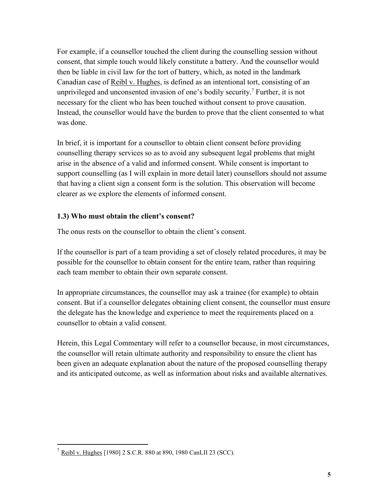For example, if a counsellor touched the client during the counselling session without consent, that simple touch would likely constitute a battery. And the counsellor would then be liable in civil law for the tort of battery, which, as noted in the landmark Canadian case of Reibl v. Hughes, is defined as an intentional tort, consisting of an unprivileged and unconsented invasion of one's bodily security.<sup>7</sup> Further, it is not necessary for the client who has been touched without consent to prove causation. Instead, the counsellor would have the burden to prove that the client consented to what was done.

In brief, it is important for a counsellor to obtain client consent before providing counselling therapy services so as to avoid any subsequent legal problems that might arise in the absence of a valid and informed consent. While consent is important to support counselling (as I will explain in more detail later) counsellors should not assume that having a client sign a consent form is the solution. This observation will become clearer as we explore the elements of informed consent.

## **1.3) Who must obtain the client's consent?**

The onus rests on the counsellor to obtain the client's consent.

If the counsellor is part of a team providing a set of closely related procedures, it may be possible for the counsellor to obtain consent for the entire team, rather than requiring each team member to obtain their own separate consent.

In appropriate circumstances, the counsellor may ask a trainee (for example) to obtain consent. But if a counsellor delegates obtaining client consent, the counsellor must ensure the delegate has the knowledge and experience to meet the requirements placed on a counsellor to obtain a valid consent.

Herein, this Legal Commentary will refer to a counsellor because, in most circumstances, the counsellor will retain ultimate authority and responsibility to ensure the client has been given an adequate explanation about the nature of the proposed counselling therapy and its anticipated outcome, as well as information about risks and available alternatives.

 $7 \text{ Reibl v. Hughes}$  [1980] 2 S.C.R. 880 at 890, 1980 CanLII 23 (SCC).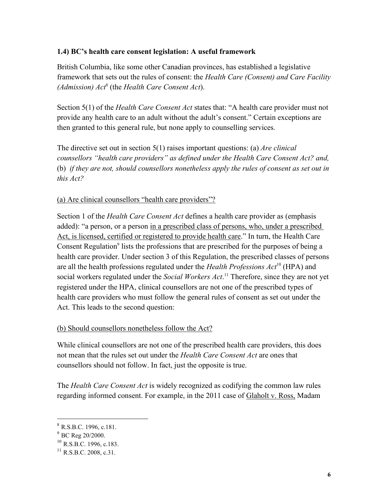## **1.4) BC's health care consent legislation: A useful framework**

British Columbia, like some other Canadian provinces, has established a legislative framework that sets out the rules of consent: the *Health Care (Consent) and Care Facility (Admission) Act*<sup>8</sup> (the *Health Care Consent Act*).

Section 5(1) of the *Health Care Consent Act* states that: "A health care provider must not provide any health care to an adult without the adult's consent." Certain exceptions are then granted to this general rule, but none apply to counselling services.

The directive set out in section 5(1) raises important questions: (a) *Are clinical counsellors "health care providers" as defined under the Health Care Consent Act? and,*  (b) *if they are not, should counsellors nonetheless apply the rules of consent as set out in this Act?*

#### (a) Are clinical counsellors "health care providers"?

Section 1 of the *Health Care Consent Act* defines a health care provider as (emphasis added): "a person, or a person in a prescribed class of persons, who, under a prescribed Act, is licensed, certified or registered to provide health care." In turn, the Health Care Consent Regulation<sup>9</sup> lists the professions that are prescribed for the purposes of being a health care provider. Under section 3 of this Regulation, the prescribed classes of persons are all the health professions regulated under the *Health Professions Act*<sup>10</sup> (HPA) and social workers regulated under the *Social Workers Act*. <sup>11</sup> Therefore, since they are not yet registered under the HPA, clinical counsellors are not one of the prescribed types of health care providers who must follow the general rules of consent as set out under the Act. This leads to the second question:

#### (b) Should counsellors nonetheless follow the Act?

While clinical counsellors are not one of the prescribed health care providers, this does not mean that the rules set out under the *Health Care Consent Act* are ones that counsellors should not follow. In fact, just the opposite is true.

The *Health Care Consent Act* is widely recognized as codifying the common law rules regarding informed consent. For example, in the 2011 case of Glaholt v. Ross, Madam

 8 R.S.B.C. 1996, c.181.

 $9^{9}$  BC Reg 20/2000.

 $^{10}$  R.S.B.C. 1996, c.183.

 $^{11}$  R S.B.C. 2008, c.31.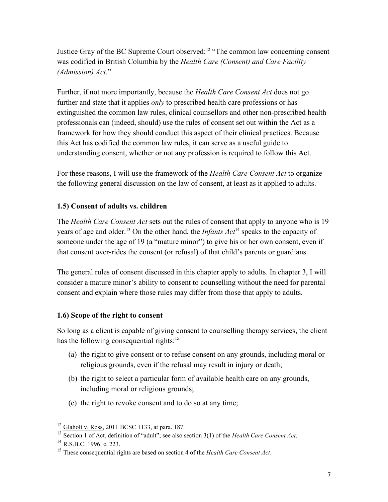Justice Gray of the BC Supreme Court observed:<sup>12</sup> "The common law concerning consent was codified in British Columbia by the *Health Care (Consent) and Care Facility (Admission) Act*."

Further, if not more importantly, because the *Health Care Consent Act* does not go further and state that it applies *only* to prescribed health care professions or has extinguished the common law rules, clinical counsellors and other non-prescribed health professionals can (indeed, should) use the rules of consent set out within the Act as a framework for how they should conduct this aspect of their clinical practices. Because this Act has codified the common law rules, it can serve as a useful guide to understanding consent, whether or not any profession is required to follow this Act.

For these reasons, I will use the framework of the *Health Care Consent Act* to organize the following general discussion on the law of consent, at least as it applied to adults.

## **1.5) Consent of adults vs. children**

The *Health Care Consent Act* sets out the rules of consent that apply to anyone who is 19 years of age and older.<sup>13</sup> On the other hand, the *Infants Act*<sup>14</sup> speaks to the capacity of someone under the age of 19 (a "mature minor") to give his or her own consent, even if that consent over-rides the consent (or refusal) of that child's parents or guardians.

The general rules of consent discussed in this chapter apply to adults. In chapter 3, I will consider a mature minor's ability to consent to counselling without the need for parental consent and explain where those rules may differ from those that apply to adults.

## **1.6) Scope of the right to consent**

So long as a client is capable of giving consent to counselling therapy services, the client has the following consequential rights: $15$ 

- (a) the right to give consent or to refuse consent on any grounds, including moral or religious grounds, even if the refusal may result in injury or death;
- (b) the right to select a particular form of available health care on any grounds, including moral or religious grounds;
- (c) the right to revoke consent and to do so at any time;

 $12$  Glaholt v. Ross, 2011 BCSC 1133, at para. 187.

<sup>13</sup> Section 1 of Act, definition of "adult"; see also section 3(1) of the *Health Care Consent Act*.

 $^{14}$  R.S.B.C. 1996, c. 223.

<sup>15</sup> These consequential rights are based on section 4 of the *Health Care Consent Act*.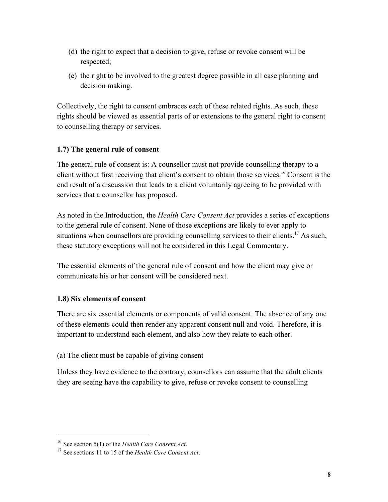- (d) the right to expect that a decision to give, refuse or revoke consent will be respected;
- (e) the right to be involved to the greatest degree possible in all case planning and decision making.

Collectively, the right to consent embraces each of these related rights. As such, these rights should be viewed as essential parts of or extensions to the general right to consent to counselling therapy or services.

## **1.7) The general rule of consent**

The general rule of consent is: A counsellor must not provide counselling therapy to a client without first receiving that client's consent to obtain those services.<sup>16</sup> Consent is the end result of a discussion that leads to a client voluntarily agreeing to be provided with services that a counsellor has proposed.

As noted in the Introduction, the *Health Care Consent Act* provides a series of exceptions to the general rule of consent. None of those exceptions are likely to ever apply to situations when counsellors are providing counselling services to their clients.<sup>17</sup> As such, these statutory exceptions will not be considered in this Legal Commentary.

The essential elements of the general rule of consent and how the client may give or communicate his or her consent will be considered next.

## **1.8) Six elements of consent**

There are six essential elements or components of valid consent. The absence of any one of these elements could then render any apparent consent null and void. Therefore, it is important to understand each element, and also how they relate to each other.

## (a) The client must be capable of giving consent

Unless they have evidence to the contrary, counsellors can assume that the adult clients they are seeing have the capability to give, refuse or revoke consent to counselling

<sup>16</sup> See section 5(1) of the *Health Care Consent Act*.

<sup>17</sup> See sections 11 to 15 of the *Health Care Consent Act*.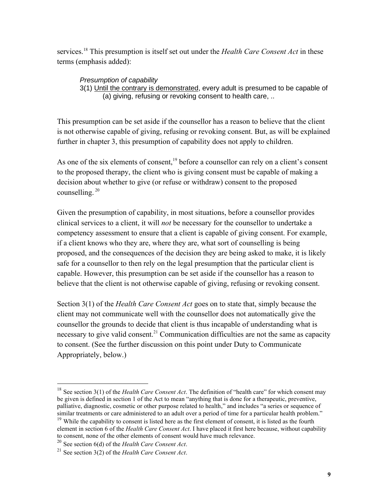services.<sup>18</sup> This presumption is itself set out under the *Health Care Consent Act* in these terms (emphasis added):

*Presumption of capability* 3(1) Until the contrary is demonstrated, every adult is presumed to be capable of (a) giving, refusing or revoking consent to health care, ..

This presumption can be set aside if the counsellor has a reason to believe that the client is not otherwise capable of giving, refusing or revoking consent. But, as will be explained further in chapter 3, this presumption of capability does not apply to children.

As one of the six elements of consent.<sup>19</sup> before a counsellor can rely on a client's consent to the proposed therapy, the client who is giving consent must be capable of making a decision about whether to give (or refuse or withdraw) consent to the proposed counselling. 20

Given the presumption of capability, in most situations, before a counsellor provides clinical services to a client, it will *not* be necessary for the counsellor to undertake a competency assessment to ensure that a client is capable of giving consent. For example, if a client knows who they are, where they are, what sort of counselling is being proposed, and the consequences of the decision they are being asked to make, it is likely safe for a counsellor to then rely on the legal presumption that the particular client is capable. However, this presumption can be set aside if the counsellor has a reason to believe that the client is not otherwise capable of giving, refusing or revoking consent.

Section 3(1) of the *Health Care Consent Act* goes on to state that, simply because the client may not communicate well with the counsellor does not automatically give the counsellor the grounds to decide that client is thus incapable of understanding what is necessary to give valid consent.<sup>21</sup> Communication difficulties are not the same as capacity to consent. (See the further discussion on this point under Duty to Communicate Appropriately, below.)

<sup>&</sup>lt;sup>18</sup> See section 3(1) of the *Health Care Consent Act*. The definition of "health care" for which consent may be given is defined in section 1 of the Act to mean "anything that is done for a therapeutic, preventive, palliative, diagnostic, cosmetic or other purpose related to health," and includes "a series or sequence of similar treatments or care administered to an adult over a period of time for a particular health problem."

<sup>&</sup>lt;sup>19</sup> While the capability to consent is listed here as the first element of consent, it is listed as the fourth element in section 6 of the *Health Care Consent Act*. I have placed it first here because, without capability to consent, none of the other elements of consent would have much relevance.

<sup>20</sup> See section 6(d) of the *Health Care Consent Act*.

<sup>21</sup> See section 3(2) of the *Health Care Consent Act*.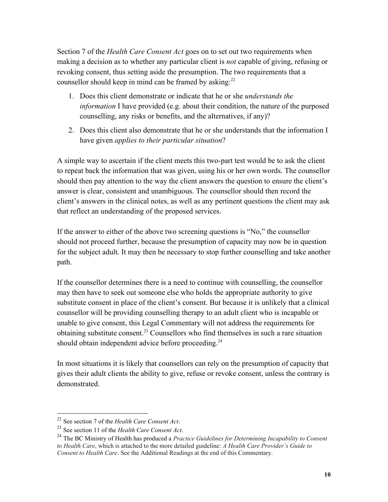Section 7 of the *Health Care Consent Act* goes on to set out two requirements when making a decision as to whether any particular client is *not* capable of giving, refusing or revoking consent, thus setting aside the presumption. The two requirements that a counsellor should keep in mind can be framed by asking: $2<sup>2</sup>$ 

- 1. Does this client demonstrate or indicate that he or she *understands the information* I have provided (e.g. about their condition, the nature of the purposed counselling, any risks or benefits, and the alternatives, if any)?
- 2. Does this client also demonstrate that he or she understands that the information I have given *applies to their particular situation*?

A simple way to ascertain if the client meets this two-part test would be to ask the client to repeat back the information that was given, using his or her own words. The counsellor should then pay attention to the way the client answers the question to ensure the client's answer is clear, consistent and unambiguous. The counsellor should then record the client's answers in the clinical notes, as well as any pertinent questions the client may ask that reflect an understanding of the proposed services.

If the answer to either of the above two screening questions is "No," the counsellor should not proceed further, because the presumption of capacity may now be in question for the subject adult. It may then be necessary to stop further counselling and take another path.

If the counsellor determines there is a need to continue with counselling, the counsellor may then have to seek out someone else who holds the appropriate authority to give substitute consent in place of the client's consent. But because it is unlikely that a clinical counsellor will be providing counselling therapy to an adult client who is incapable or unable to give consent, this Legal Commentary will not address the requirements for obtaining substitute consent.<sup>23</sup> Counsellors who find themselves in such a rare situation should obtain independent advice before proceeding.<sup>24</sup>

In most situations it is likely that counsellors can rely on the presumption of capacity that gives their adult clients the ability to give, refuse or revoke consent, unless the contrary is demonstrated.

<sup>22</sup> See section 7 of the *Health Care Consent Act*.

<sup>23</sup> See section 11 of the *Health Care Consent Act*.

<sup>24</sup> The BC Ministry of Health has produced a *Practice Guidelines for Determining Incapability to Consent to Health Care*, which is attached to the more detailed guideline: *A Health Care Provider's Guide to Consent to Health Care*. See the Additional Readings at the end of this Commentary.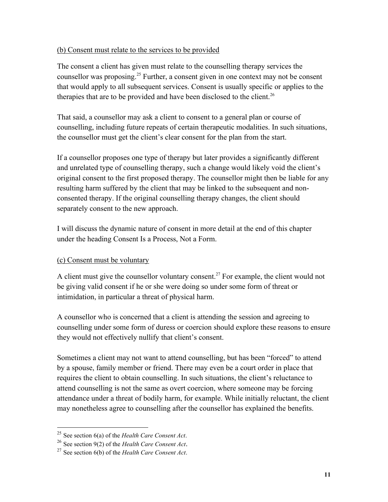## (b) Consent must relate to the services to be provided

The consent a client has given must relate to the counselling therapy services the counsellor was proposing.<sup>25</sup> Further, a consent given in one context may not be consent that would apply to all subsequent services. Consent is usually specific or applies to the therapies that are to be provided and have been disclosed to the client.<sup>26</sup>

That said, a counsellor may ask a client to consent to a general plan or course of counselling, including future repeats of certain therapeutic modalities. In such situations, the counsellor must get the client's clear consent for the plan from the start.

If a counsellor proposes one type of therapy but later provides a significantly different and unrelated type of counselling therapy, such a change would likely void the client's original consent to the first proposed therapy. The counsellor might then be liable for any resulting harm suffered by the client that may be linked to the subsequent and nonconsented therapy. If the original counselling therapy changes, the client should separately consent to the new approach.

I will discuss the dynamic nature of consent in more detail at the end of this chapter under the heading Consent Is a Process, Not a Form.

## (c) Consent must be voluntary

A client must give the counsellor voluntary consent.<sup>27</sup> For example, the client would not be giving valid consent if he or she were doing so under some form of threat or intimidation, in particular a threat of physical harm.

A counsellor who is concerned that a client is attending the session and agreeing to counselling under some form of duress or coercion should explore these reasons to ensure they would not effectively nullify that client's consent.

Sometimes a client may not want to attend counselling, but has been "forced" to attend by a spouse, family member or friend. There may even be a court order in place that requires the client to obtain counselling. In such situations, the client's reluctance to attend counselling is not the same as overt coercion, where someone may be forcing attendance under a threat of bodily harm, for example. While initially reluctant, the client may nonetheless agree to counselling after the counsellor has explained the benefits.

<sup>25</sup> See section 6(a) of the *Health Care Consent Act*.

<sup>26</sup> See section 9(2) of the *Health Care Consent Act*.

<sup>27</sup> See section 6(b) of the *Health Care Consent Act*.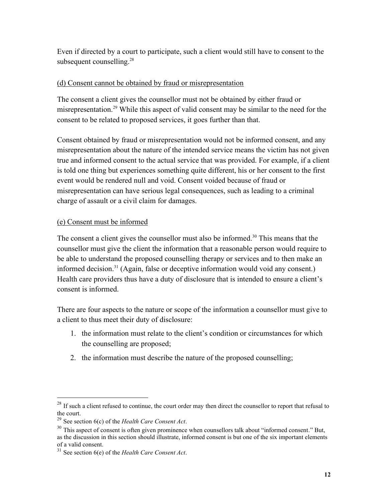Even if directed by a court to participate, such a client would still have to consent to the subsequent counselling.<sup>28</sup>

#### (d) Consent cannot be obtained by fraud or misrepresentation

The consent a client gives the counsellor must not be obtained by either fraud or misrepresentation.<sup>29</sup> While this aspect of valid consent may be similar to the need for the consent to be related to proposed services, it goes further than that.

Consent obtained by fraud or misrepresentation would not be informed consent, and any misrepresentation about the nature of the intended service means the victim has not given true and informed consent to the actual service that was provided. For example, if a client is told one thing but experiences something quite different, his or her consent to the first event would be rendered null and void. Consent voided because of fraud or misrepresentation can have serious legal consequences, such as leading to a criminal charge of assault or a civil claim for damages.

#### (e) Consent must be informed

The consent a client gives the counsellor must also be informed.<sup>30</sup> This means that the counsellor must give the client the information that a reasonable person would require to be able to understand the proposed counselling therapy or services and to then make an informed decision. <sup>31</sup> (Again, false or deceptive information would void any consent.) Health care providers thus have a duty of disclosure that is intended to ensure a client's consent is informed.

There are four aspects to the nature or scope of the information a counsellor must give to a client to thus meet their duty of disclosure:

- 1. the information must relate to the client's condition or circumstances for which the counselling are proposed;
- 2. the information must describe the nature of the proposed counselling;

 $^{28}$  If such a client refused to continue, the court order may then direct the counsellor to report that refusal to the court.

<sup>29</sup> See section 6(c) of the *Health Care Consent Act*.

 $30$  This aspect of consent is often given prominence when counsellors talk about "informed consent." But, as the discussion in this section should illustrate, informed consent is but one of the six important elements

of a valid consent.

<sup>31</sup> See section 6(e) of the *Health Care Consent Act*.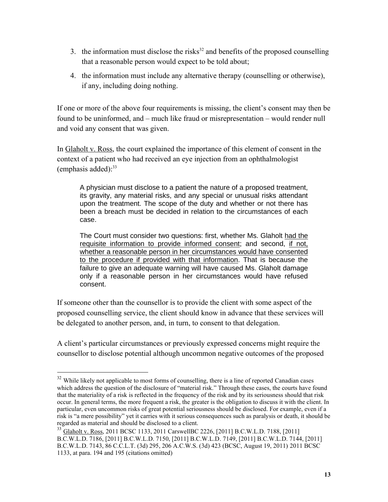- 3. the information must disclose the risks<sup>32</sup> and benefits of the proposed counselling that a reasonable person would expect to be told about;
- 4. the information must include any alternative therapy (counselling or otherwise), if any, including doing nothing.

If one or more of the above four requirements is missing, the client's consent may then be found to be uninformed, and – much like fraud or misrepresentation – would render null and void any consent that was given.

In Glaholt v. Ross, the court explained the importance of this element of consent in the context of a patient who had received an eye injection from an ophthalmologist (emphasis added): 33

A physician must disclose to a patient the nature of a proposed treatment, its gravity, any material risks, and any special or unusual risks attendant upon the treatment. The scope of the duty and whether or not there has been a breach must be decided in relation to the circumstances of each case.

The Court must consider two questions: first, whether Ms. Glaholt had the requisite information to provide informed consent; and second, if not, whether a reasonable person in her circumstances would have consented to the procedure if provided with that information. That is because the failure to give an adequate warning will have caused Ms. Glaholt damage only if a reasonable person in her circumstances would have refused consent.

If someone other than the counsellor is to provide the client with some aspect of the proposed counselling service, the client should know in advance that these services will be delegated to another person, and, in turn, to consent to that delegation.

A client's particular circumstances or previously expressed concerns might require the counsellor to disclose potential although uncommon negative outcomes of the proposed

<sup>&</sup>lt;sup>32</sup> While likely not applicable to most forms of counselling, there is a line of reported Canadian cases which address the question of the disclosure of "material risk." Through these cases, the courts have found that the materiality of a risk is reflected in the frequency of the risk and by its seriousness should that risk occur. In general terms, the more frequent a risk, the greater is the obligation to discuss it with the client. In particular, even uncommon risks of great potential seriousness should be disclosed. For example, even if a risk is "a mere possibility" yet it carries with it serious consequences such as paralysis or death, it should be regarded as material and should be disclosed to a client.

<sup>33</sup> Glaholt v. Ross, 2011 BCSC 1133, 2011 CarswellBC 2226, [2011] B.C.W.L.D. 7188, [2011] B.C.W.L.D. 7186, [2011] B.C.W.L.D. 7150, [2011] B.C.W.L.D. 7149, [2011] B.C.W.L.D. 7144, [2011] B.C.W.L.D. 7143, 86 C.C.L.T. (3d) 295, 206 A.C.W.S. (3d) 423 (BCSC, August 19, 2011) 2011 BCSC 1133, at para. 194 and 195 (citations omitted)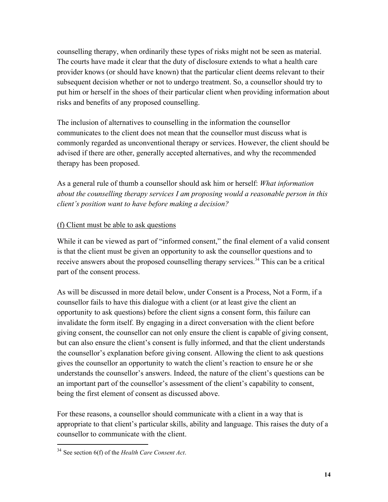counselling therapy, when ordinarily these types of risks might not be seen as material. The courts have made it clear that the duty of disclosure extends to what a health care provider knows (or should have known) that the particular client deems relevant to their subsequent decision whether or not to undergo treatment. So, a counsellor should try to put him or herself in the shoes of their particular client when providing information about risks and benefits of any proposed counselling.

The inclusion of alternatives to counselling in the information the counsellor communicates to the client does not mean that the counsellor must discuss what is commonly regarded as unconventional therapy or services. However, the client should be advised if there are other, generally accepted alternatives, and why the recommended therapy has been proposed.

As a general rule of thumb a counsellor should ask him or herself: *What information about the counselling therapy services I am proposing would a reasonable person in this client's position want to have before making a decision?*

## (f) Client must be able to ask questions

While it can be viewed as part of "informed consent," the final element of a valid consent is that the client must be given an opportunity to ask the counsellor questions and to receive answers about the proposed counselling therapy services.<sup>34</sup> This can be a critical part of the consent process.

As will be discussed in more detail below, under Consent is a Process, Not a Form, if a counsellor fails to have this dialogue with a client (or at least give the client an opportunity to ask questions) before the client signs a consent form, this failure can invalidate the form itself. By engaging in a direct conversation with the client before giving consent, the counsellor can not only ensure the client is capable of giving consent, but can also ensure the client's consent is fully informed, and that the client understands the counsellor's explanation before giving consent. Allowing the client to ask questions gives the counsellor an opportunity to watch the client's reaction to ensure he or she understands the counsellor's answers. Indeed, the nature of the client's questions can be an important part of the counsellor's assessment of the client's capability to consent, being the first element of consent as discussed above.

For these reasons, a counsellor should communicate with a client in a way that is appropriate to that client's particular skills, ability and language. This raises the duty of a counsellor to communicate with the client.

<sup>34</sup> See section 6(f) of the *Health Care Consent Act*.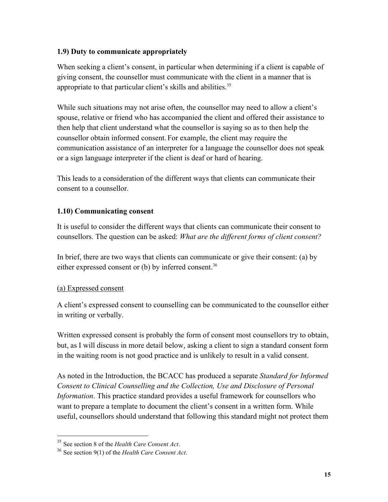## **1.9) Duty to communicate appropriately**

When seeking a client's consent, in particular when determining if a client is capable of giving consent, the counsellor must communicate with the client in a manner that is appropriate to that particular client's skills and abilities.<sup>35</sup>

While such situations may not arise often, the counsellor may need to allow a client's spouse, relative or friend who has accompanied the client and offered their assistance to then help that client understand what the counsellor is saying so as to then help the counsellor obtain informed consent. For example, the client may require the communication assistance of an interpreter for a language the counsellor does not speak or a sign language interpreter if the client is deaf or hard of hearing.

This leads to a consideration of the different ways that clients can communicate their consent to a counsellor.

## **1.10) Communicating consent**

It is useful to consider the different ways that clients can communicate their consent to counsellors. The question can be asked: *What are the different forms of client consent?*

In brief, there are two ways that clients can communicate or give their consent: (a) by either expressed consent or (b) by inferred consent.<sup>36</sup>

## (a) Expressed consent

 $\overline{a}$ 

A client's expressed consent to counselling can be communicated to the counsellor either in writing or verbally.

Written expressed consent is probably the form of consent most counsellors try to obtain, but, as I will discuss in more detail below, asking a client to sign a standard consent form in the waiting room is not good practice and is unlikely to result in a valid consent.

As noted in the Introduction, the BCACC has produced a separate *Standard for Informed Consent to Clinical Counselling and the Collection, Use and Disclosure of Personal Information*. This practice standard provides a useful framework for counsellors who want to prepare a template to document the client's consent in a written form. While useful, counsellors should understand that following this standard might not protect them

<sup>35</sup> See section 8 of the *Health Care Consent Act*.

<sup>36</sup> See section 9(1) of the *Health Care Consent Act*.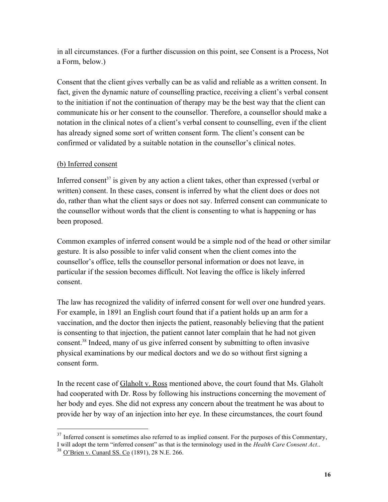in all circumstances. (For a further discussion on this point, see Consent is a Process, Not a Form, below.)

Consent that the client gives verbally can be as valid and reliable as a written consent. In fact, given the dynamic nature of counselling practice, receiving a client's verbal consent to the initiation if not the continuation of therapy may be the best way that the client can communicate his or her consent to the counsellor. Therefore, a counsellor should make a notation in the clinical notes of a client's verbal consent to counselling, even if the client has already signed some sort of written consent form. The client's consent can be confirmed or validated by a suitable notation in the counsellor's clinical notes.

#### (b) Inferred consent

Inferred consent<sup>37</sup> is given by any action a client takes, other than expressed (verbal or written) consent. In these cases, consent is inferred by what the client does or does not do, rather than what the client says or does not say. Inferred consent can communicate to the counsellor without words that the client is consenting to what is happening or has been proposed.

Common examples of inferred consent would be a simple nod of the head or other similar gesture. It is also possible to infer valid consent when the client comes into the counsellor's office, tells the counsellor personal information or does not leave, in particular if the session becomes difficult. Not leaving the office is likely inferred consent.

The law has recognized the validity of inferred consent for well over one hundred years. For example, in 1891 an English court found that if a patient holds up an arm for a vaccination, and the doctor then injects the patient, reasonably believing that the patient is consenting to that injection, the patient cannot later complain that he had not given consent. <sup>38</sup> Indeed, many of us give inferred consent by submitting to often invasive physical examinations by our medical doctors and we do so without first signing a consent form.

In the recent case of Glaholt v. Ross mentioned above, the court found that Ms. Glaholt had cooperated with Dr. Ross by following his instructions concerning the movement of her body and eyes. She did not express any concern about the treatment he was about to provide her by way of an injection into her eye. In these circumstances, the court found

 $37$  Inferred consent is sometimes also referred to as implied consent. For the purposes of this Commentary, I will adopt the term "inferred consent" as that is the terminology used in the *Health Care Consent Act*..

<sup>38</sup> O'Brien v. Cunard SS. Co (1891), 28 N.E. 266.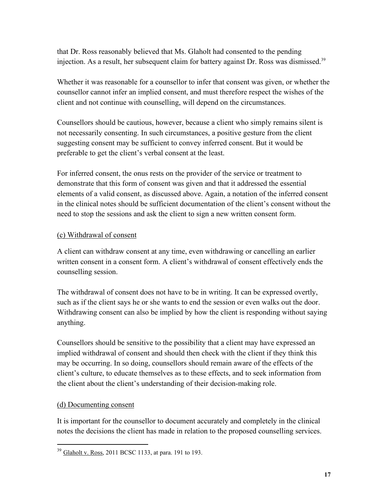that Dr. Ross reasonably believed that Ms. Glaholt had consented to the pending injection. As a result, her subsequent claim for battery against Dr. Ross was dismissed.<sup>39</sup>

Whether it was reasonable for a counsellor to infer that consent was given, or whether the counsellor cannot infer an implied consent, and must therefore respect the wishes of the client and not continue with counselling, will depend on the circumstances.

Counsellors should be cautious, however, because a client who simply remains silent is not necessarily consenting. In such circumstances, a positive gesture from the client suggesting consent may be sufficient to convey inferred consent. But it would be preferable to get the client's verbal consent at the least.

For inferred consent, the onus rests on the provider of the service or treatment to demonstrate that this form of consent was given and that it addressed the essential elements of a valid consent, as discussed above. Again, a notation of the inferred consent in the clinical notes should be sufficient documentation of the client's consent without the need to stop the sessions and ask the client to sign a new written consent form.

## (c) Withdrawal of consent

A client can withdraw consent at any time, even withdrawing or cancelling an earlier written consent in a consent form. A client's withdrawal of consent effectively ends the counselling session.

The withdrawal of consent does not have to be in writing. It can be expressed overtly, such as if the client says he or she wants to end the session or even walks out the door. Withdrawing consent can also be implied by how the client is responding without saying anything.

Counsellors should be sensitive to the possibility that a client may have expressed an implied withdrawal of consent and should then check with the client if they think this may be occurring. In so doing, counsellors should remain aware of the effects of the client's culture, to educate themselves as to these effects, and to seek information from the client about the client's understanding of their decision-making role.

## (d) Documenting consent

 $\overline{a}$ 

It is important for the counsellor to document accurately and completely in the clinical notes the decisions the client has made in relation to the proposed counselling services.

 $39 \text{ Glaholt v. Ross}, 2011 \text{ BCSC } 1133, \text{ at para. } 191 \text{ to } 193.$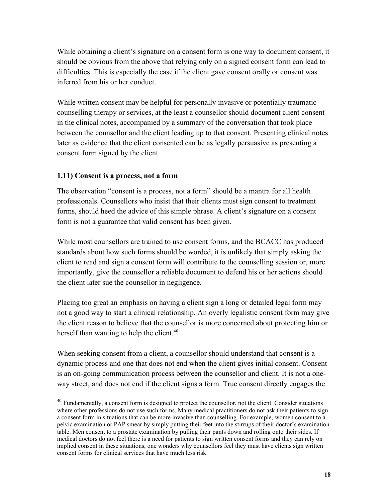While obtaining a client's signature on a consent form is one way to document consent, it should be obvious from the above that relying only on a signed consent form can lead to difficulties. This is especially the case if the client gave consent orally or consent was inferred from his or her conduct.

While written consent may be helpful for personally invasive or potentially traumatic counselling therapy or services, at the least a counsellor should document client consent in the clinical notes, accompanied by a summary of the conversation that took place between the counsellor and the client leading up to that consent. Presenting clinical notes later as evidence that the client consented can be as legally persuasive as presenting a consent form signed by the client.

#### **1.11) Consent is a process, not a form**

 $\overline{a}$ 

The observation "consent is a process, not a form" should be a mantra for all health professionals. Counsellors who insist that their clients must sign consent to treatment forms, should heed the advice of this simple phrase. A client's signature on a consent form is not a guarantee that valid consent has been given.

While most counsellors are trained to use consent forms, and the BCACC has produced standards about how such forms should be worded, it is unlikely that simply asking the client to read and sign a consent form will contribute to the counselling session or, more importantly, give the counsellor a reliable document to defend his or her actions should the client later sue the counsellor in negligence.

Placing too great an emphasis on having a client sign a long or detailed legal form may not a good way to start a clinical relationship. An overly legalistic consent form may give the client reason to believe that the counsellor is more concerned about protecting him or herself than wanting to help the client.<sup>40</sup>

When seeking consent from a client, a counsellor should understand that consent is a dynamic process and one that does not end when the client gives initial consent. Consent is an on-going communication process between the counsellor and client. It is not a oneway street, and does not end if the client signs a form. True consent directly engages the

 $40$  Fundamentally, a consent form is designed to protect the counsellor, not the client. Consider situations where other professions do not use such forms. Many medical practitioners do not ask their patients to sign a consent form in situations that can be more invasive than counselling. For example, women consent to a pelvic examination or PAP smear by simply putting their feet into the stirrups of their doctor's examination table. Men consent to a prostate examination by pulling their pants down and rolling onto their sides. If medical doctors do not feel there is a need for patients to sign written consent forms and they can rely on implied consent in these situations, one wonders why counsellors feel they must have clients sign written consent forms for clinical services that have much less risk.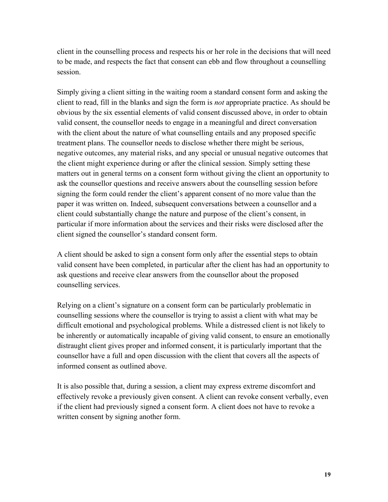client in the counselling process and respects his or her role in the decisions that will need to be made, and respects the fact that consent can ebb and flow throughout a counselling session.

Simply giving a client sitting in the waiting room a standard consent form and asking the client to read, fill in the blanks and sign the form is *not* appropriate practice. As should be obvious by the six essential elements of valid consent discussed above, in order to obtain valid consent, the counsellor needs to engage in a meaningful and direct conversation with the client about the nature of what counselling entails and any proposed specific treatment plans. The counsellor needs to disclose whether there might be serious, negative outcomes, any material risks, and any special or unusual negative outcomes that the client might experience during or after the clinical session. Simply setting these matters out in general terms on a consent form without giving the client an opportunity to ask the counsellor questions and receive answers about the counselling session before signing the form could render the client's apparent consent of no more value than the paper it was written on. Indeed, subsequent conversations between a counsellor and a client could substantially change the nature and purpose of the client's consent, in particular if more information about the services and their risks were disclosed after the client signed the counsellor's standard consent form.

A client should be asked to sign a consent form only after the essential steps to obtain valid consent have been completed, in particular after the client has had an opportunity to ask questions and receive clear answers from the counsellor about the proposed counselling services.

Relying on a client's signature on a consent form can be particularly problematic in counselling sessions where the counsellor is trying to assist a client with what may be difficult emotional and psychological problems. While a distressed client is not likely to be inherently or automatically incapable of giving valid consent, to ensure an emotionally distraught client gives proper and informed consent, it is particularly important that the counsellor have a full and open discussion with the client that covers all the aspects of informed consent as outlined above.

It is also possible that, during a session, a client may express extreme discomfort and effectively revoke a previously given consent. A client can revoke consent verbally, even if the client had previously signed a consent form. A client does not have to revoke a written consent by signing another form.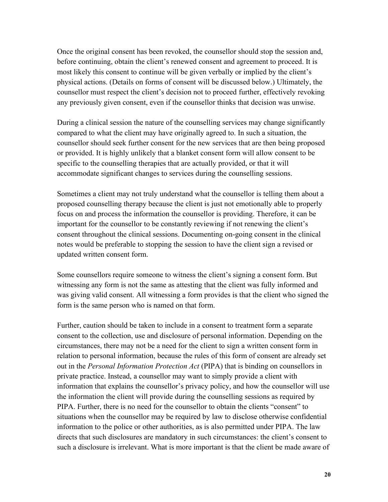Once the original consent has been revoked, the counsellor should stop the session and, before continuing, obtain the client's renewed consent and agreement to proceed. It is most likely this consent to continue will be given verbally or implied by the client's physical actions. (Details on forms of consent will be discussed below.) Ultimately, the counsellor must respect the client's decision not to proceed further, effectively revoking any previously given consent, even if the counsellor thinks that decision was unwise.

During a clinical session the nature of the counselling services may change significantly compared to what the client may have originally agreed to. In such a situation, the counsellor should seek further consent for the new services that are then being proposed or provided. It is highly unlikely that a blanket consent form will allow consent to be specific to the counselling therapies that are actually provided, or that it will accommodate significant changes to services during the counselling sessions.

Sometimes a client may not truly understand what the counsellor is telling them about a proposed counselling therapy because the client is just not emotionally able to properly focus on and process the information the counsellor is providing. Therefore, it can be important for the counsellor to be constantly reviewing if not renewing the client's consent throughout the clinical sessions. Documenting on-going consent in the clinical notes would be preferable to stopping the session to have the client sign a revised or updated written consent form.

Some counsellors require someone to witness the client's signing a consent form. But witnessing any form is not the same as attesting that the client was fully informed and was giving valid consent. All witnessing a form provides is that the client who signed the form is the same person who is named on that form.

Further, caution should be taken to include in a consent to treatment form a separate consent to the collection, use and disclosure of personal information. Depending on the circumstances, there may not be a need for the client to sign a written consent form in relation to personal information, because the rules of this form of consent are already set out in the *Personal Information Protection Act* (PIPA) that is binding on counsellors in private practice. Instead, a counsellor may want to simply provide a client with information that explains the counsellor's privacy policy, and how the counsellor will use the information the client will provide during the counselling sessions as required by PIPA. Further, there is no need for the counsellor to obtain the clients "consent" to situations when the counsellor may be required by law to disclose otherwise confidential information to the police or other authorities, as is also permitted under PIPA. The law directs that such disclosures are mandatory in such circumstances: the client's consent to such a disclosure is irrelevant. What is more important is that the client be made aware of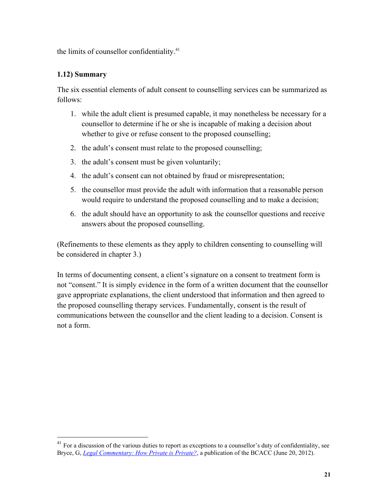the limits of counsellor confidentiality. $41$ 

## **1.12) Summary**

 $\overline{a}$ 

The six essential elements of adult consent to counselling services can be summarized as follows:

- 1. while the adult client is presumed capable, it may nonetheless be necessary for a counsellor to determine if he or she is incapable of making a decision about whether to give or refuse consent to the proposed counselling;
- 2. the adult's consent must relate to the proposed counselling;
- 3. the adult's consent must be given voluntarily;
- 4. the adult's consent can not obtained by fraud or misrepresentation;
- 5. the counsellor must provide the adult with information that a reasonable person would require to understand the proposed counselling and to make a decision;
- 6. the adult should have an opportunity to ask the counsellor questions and receive answers about the proposed counselling.

(Refinements to these elements as they apply to children consenting to counselling will be considered in chapter 3.)

In terms of documenting consent, a client's signature on a consent to treatment form is not "consent." It is simply evidence in the form of a written document that the counsellor gave appropriate explanations, the client understood that information and then agreed to the proposed counselling therapy services. Fundamentally, consent is the result of communications between the counsellor and the client leading to a decision. Consent is not a form.

 $41$  For a discussion of the various duties to report as exceptions to a counsellor's duty of confidentiality, see Bryce, G, *[Legal Commentary: How Private is](http://bc-counsellors.org/wp-content/uploads/2013/03/2012-06-20HowPrivateIsPrivate.pdf) Private?*, a publication of the BCACC (June 20, 2012).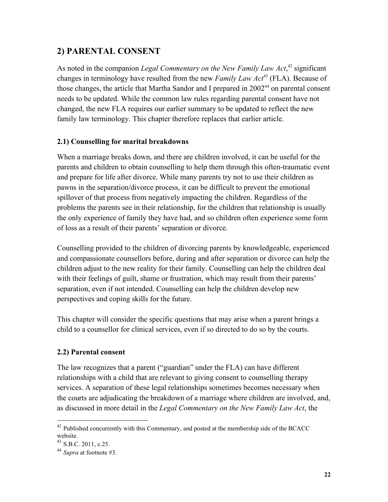## **2) PARENTAL CONSENT**

As noted in the companion *Legal Commentary on the New Family Law Act*,<sup>42</sup> significant changes in terminology have resulted from the new *Family Law Act*<sup>43</sup> (FLA). Because of those changes, the article that Martha Sandor and I prepared in 2002<sup>44</sup> on parental consent needs to be updated. While the common law rules regarding parental consent have not changed, the new FLA requires our earlier summary to be updated to reflect the new family law terminology. This chapter therefore replaces that earlier article.

## **2.1) Counselling for marital breakdowns**

When a marriage breaks down, and there are children involved, it can be useful for the parents and children to obtain counselling to help them through this often-traumatic event and prepare for life after divorce. While many parents try not to use their children as pawns in the separation/divorce process, it can be difficult to prevent the emotional spillover of that process from negatively impacting the children. Regardless of the problems the parents see in their relationship, for the children that relationship is usually the only experience of family they have had, and so children often experience some form of loss as a result of their parents' separation or divorce.

Counselling provided to the children of divorcing parents by knowledgeable, experienced and compassionate counsellors before, during and after separation or divorce can help the children adjust to the new reality for their family. Counselling can help the children deal with their feelings of guilt, shame or frustration, which may result from their parents' separation, even if not intended. Counselling can help the children develop new perspectives and coping skills for the future.

This chapter will consider the specific questions that may arise when a parent brings a child to a counsellor for clinical services, even if so directed to do so by the courts.

## **2.2) Parental consent**

The law recognizes that a parent ("guardian" under the FLA) can have different relationships with a child that are relevant to giving consent to counselling therapy services. A separation of these legal relationships sometimes becomes necessary when the courts are adjudicating the breakdown of a marriage where children are involved, and, as discussed in more detail in the *Legal Commentary on the New Family Law Act*, the

 $42$  Published concurrently with this Commentary, and posted at the membership side of the BCACC website.

<sup>43</sup> S.B.C. 2011, c.25.

<sup>44</sup> *Supra* at footnote #3.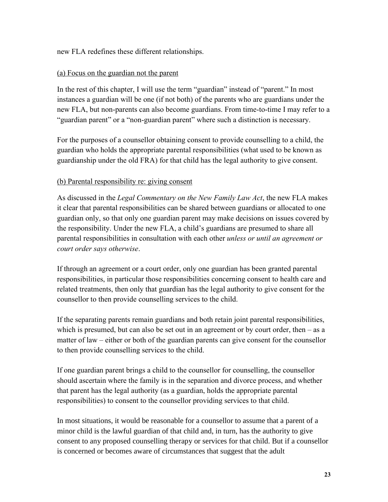new FLA redefines these different relationships.

### (a) Focus on the guardian not the parent

In the rest of this chapter, I will use the term "guardian" instead of "parent." In most instances a guardian will be one (if not both) of the parents who are guardians under the new FLA, but non-parents can also become guardians. From time-to-time I may refer to a "guardian parent" or a "non-guardian parent" where such a distinction is necessary.

For the purposes of a counsellor obtaining consent to provide counselling to a child, the guardian who holds the appropriate parental responsibilities (what used to be known as guardianship under the old FRA) for that child has the legal authority to give consent.

#### (b) Parental responsibility re: giving consent

As discussed in the *Legal Commentary on the New Family Law Act*, the new FLA makes it clear that parental responsibilities can be shared between guardians or allocated to one guardian only, so that only one guardian parent may make decisions on issues covered by the responsibility. Under the new FLA, a child's guardians are presumed to share all parental responsibilities in consultation with each other *unless or until an agreement or court order says otherwise*.

If through an agreement or a court order, only one guardian has been granted parental responsibilities, in particular those responsibilities concerning consent to health care and related treatments, then only that guardian has the legal authority to give consent for the counsellor to then provide counselling services to the child.

If the separating parents remain guardians and both retain joint parental responsibilities, which is presumed, but can also be set out in an agreement or by court order, then – as a matter of law – either or both of the guardian parents can give consent for the counsellor to then provide counselling services to the child.

If one guardian parent brings a child to the counsellor for counselling, the counsellor should ascertain where the family is in the separation and divorce process, and whether that parent has the legal authority (as a guardian, holds the appropriate parental responsibilities) to consent to the counsellor providing services to that child.

In most situations, it would be reasonable for a counsellor to assume that a parent of a minor child is the lawful guardian of that child and, in turn, has the authority to give consent to any proposed counselling therapy or services for that child. But if a counsellor is concerned or becomes aware of circumstances that suggest that the adult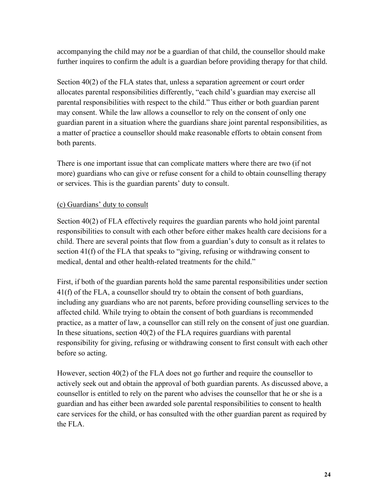accompanying the child may *not* be a guardian of that child, the counsellor should make further inquires to confirm the adult is a guardian before providing therapy for that child.

Section 40(2) of the FLA states that, unless a separation agreement or court order allocates parental responsibilities differently, "each child's guardian may exercise all parental responsibilities with respect to the child." Thus either or both guardian parent may consent. While the law allows a counsellor to rely on the consent of only one guardian parent in a situation where the guardians share joint parental responsibilities, as a matter of practice a counsellor should make reasonable efforts to obtain consent from both parents.

There is one important issue that can complicate matters where there are two (if not more) guardians who can give or refuse consent for a child to obtain counselling therapy or services. This is the guardian parents' duty to consult.

## (c) Guardians' duty to consult

Section 40(2) of FLA effectively requires the guardian parents who hold joint parental responsibilities to consult with each other before either makes health care decisions for a child. There are several points that flow from a guardian's duty to consult as it relates to section 41(f) of the FLA that speaks to "giving, refusing or withdrawing consent to medical, dental and other health-related treatments for the child."

First, if both of the guardian parents hold the same parental responsibilities under section 41(f) of the FLA, a counsellor should try to obtain the consent of both guardians, including any guardians who are not parents, before providing counselling services to the affected child. While trying to obtain the consent of both guardians is recommended practice, as a matter of law, a counsellor can still rely on the consent of just one guardian. In these situations, section 40(2) of the FLA requires guardians with parental responsibility for giving, refusing or withdrawing consent to first consult with each other before so acting.

However, section 40(2) of the FLA does not go further and require the counsellor to actively seek out and obtain the approval of both guardian parents. As discussed above, a counsellor is entitled to rely on the parent who advises the counsellor that he or she is a guardian and has either been awarded sole parental responsibilities to consent to health care services for the child, or has consulted with the other guardian parent as required by the FLA.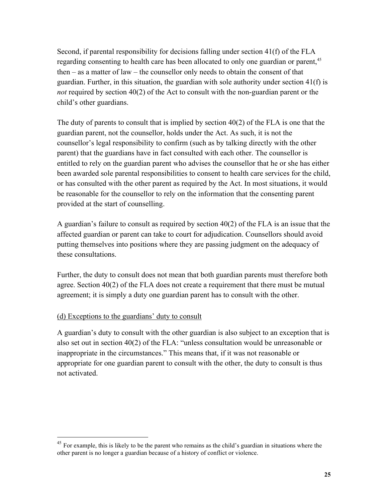Second, if parental responsibility for decisions falling under section 41(f) of the FLA regarding consenting to health care has been allocated to only one guardian or parent,<sup>45</sup> then – as a matter of law – the counsellor only needs to obtain the consent of that guardian. Further, in this situation, the guardian with sole authority under section 41(f) is *not* required by section 40(2) of the Act to consult with the non-guardian parent or the child's other guardians.

The duty of parents to consult that is implied by section  $40(2)$  of the FLA is one that the guardian parent, not the counsellor, holds under the Act. As such, it is not the counsellor's legal responsibility to confirm (such as by talking directly with the other parent) that the guardians have in fact consulted with each other. The counsellor is entitled to rely on the guardian parent who advises the counsellor that he or she has either been awarded sole parental responsibilities to consent to health care services for the child, or has consulted with the other parent as required by the Act. In most situations, it would be reasonable for the counsellor to rely on the information that the consenting parent provided at the start of counselling.

A guardian's failure to consult as required by section 40(2) of the FLA is an issue that the affected guardian or parent can take to court for adjudication. Counsellors should avoid putting themselves into positions where they are passing judgment on the adequacy of these consultations.

Further, the duty to consult does not mean that both guardian parents must therefore both agree. Section 40(2) of the FLA does not create a requirement that there must be mutual agreement; it is simply a duty one guardian parent has to consult with the other.

#### (d) Exceptions to the guardians' duty to consult

 $\overline{a}$ 

A guardian's duty to consult with the other guardian is also subject to an exception that is also set out in section 40(2) of the FLA: "unless consultation would be unreasonable or inappropriate in the circumstances." This means that, if it was not reasonable or appropriate for one guardian parent to consult with the other, the duty to consult is thus not activated.

 $45$  For example, this is likely to be the parent who remains as the child's guardian in situations where the other parent is no longer a guardian because of a history of conflict or violence.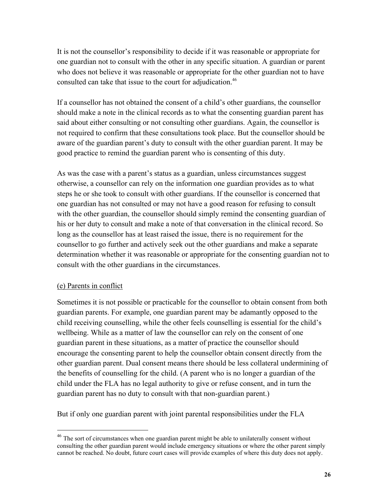It is not the counsellor's responsibility to decide if it was reasonable or appropriate for one guardian not to consult with the other in any specific situation. A guardian or parent who does not believe it was reasonable or appropriate for the other guardian not to have consulted can take that issue to the court for adjudication.<sup>46</sup>

If a counsellor has not obtained the consent of a child's other guardians, the counsellor should make a note in the clinical records as to what the consenting guardian parent has said about either consulting or not consulting other guardians. Again, the counsellor is not required to confirm that these consultations took place. But the counsellor should be aware of the guardian parent's duty to consult with the other guardian parent. It may be good practice to remind the guardian parent who is consenting of this duty.

As was the case with a parent's status as a guardian, unless circumstances suggest otherwise, a counsellor can rely on the information one guardian provides as to what steps he or she took to consult with other guardians. If the counsellor is concerned that one guardian has not consulted or may not have a good reason for refusing to consult with the other guardian, the counsellor should simply remind the consenting guardian of his or her duty to consult and make a note of that conversation in the clinical record. So long as the counsellor has at least raised the issue, there is no requirement for the counsellor to go further and actively seek out the other guardians and make a separate determination whether it was reasonable or appropriate for the consenting guardian not to consult with the other guardians in the circumstances.

#### (e) Parents in conflict

 $\overline{a}$ 

Sometimes it is not possible or practicable for the counsellor to obtain consent from both guardian parents. For example, one guardian parent may be adamantly opposed to the child receiving counselling, while the other feels counselling is essential for the child's wellbeing. While as a matter of law the counsellor can rely on the consent of one guardian parent in these situations, as a matter of practice the counsellor should encourage the consenting parent to help the counsellor obtain consent directly from the other guardian parent. Dual consent means there should be less collateral undermining of the benefits of counselling for the child. (A parent who is no longer a guardian of the child under the FLA has no legal authority to give or refuse consent, and in turn the guardian parent has no duty to consult with that non-guardian parent.)

But if only one guardian parent with joint parental responsibilities under the FLA

 $46$  The sort of circumstances when one guardian parent might be able to unilaterally consent without consulting the other guardian parent would include emergency situations or where the other parent simply cannot be reached. No doubt, future court cases will provide examples of where this duty does not apply.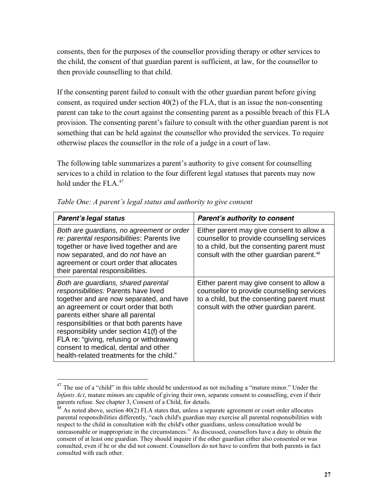consents, then for the purposes of the counsellor providing therapy or other services to the child, the consent of that guardian parent is sufficient, at law, for the counsellor to then provide counselling to that child.

If the consenting parent failed to consult with the other guardian parent before giving consent, as required under section 40(2) of the FLA, that is an issue the non-consenting parent can take to the court against the consenting parent as a possible breach of this FLA provision. The consenting parent's failure to consult with the other guardian parent is not something that can be held against the counsellor who provided the services. To require otherwise places the counsellor in the role of a judge in a court of law.

The following table summarizes a parent's authority to give consent for counselling services to a child in relation to the four different legal statuses that parents may now hold under the  $FLA<sup>47</sup>$ 

| <b>Parent's legal status</b>                                                                                                                                                                                                                                                                                                                                                                                                      | <b>Parent's authority to consent</b>                                                                                                                                                           |
|-----------------------------------------------------------------------------------------------------------------------------------------------------------------------------------------------------------------------------------------------------------------------------------------------------------------------------------------------------------------------------------------------------------------------------------|------------------------------------------------------------------------------------------------------------------------------------------------------------------------------------------------|
| Both are guardians, no agreement or order<br>re: parental responsibilities: Parents live<br>together or have lived together and are<br>now separated, and do not have an<br>agreement or court order that allocates<br>their parental responsibilities.                                                                                                                                                                           | Either parent may give consent to allow a<br>counsellor to provide counselling services<br>to a child, but the consenting parent must<br>consult with the other guardian parent. <sup>48</sup> |
| Both are guardians, shared parental<br>responsibilities: Parents have lived<br>together and are now separated, and have<br>an agreement or court order that both<br>parents either share all parental<br>responsibilities or that both parents have<br>responsibility under section 41(f) of the<br>FLA re: "giving, refusing or withdrawing<br>consent to medical, dental and other<br>health-related treatments for the child." | Either parent may give consent to allow a<br>counsellor to provide counselling services<br>to a child, but the consenting parent must<br>consult with the other guardian parent.               |

*Table One: A parent's legal status and authority to give consent*

<sup>&</sup>lt;sup>47</sup> The use of a "child" in this table should be understood as not including a "mature minor." Under the *Infants Act*, mature minors are capable of giving their own, separate consent to counselling, even if their parents refuse. See chapter 3, Consent of a Child, for details.

 $48$  As noted above, section 40(2) FLA states that, unless a separate agreement or court order allocates parental responsibilities differently, "each child's guardian may exercise all parental responsibilities with respect to the child in consultation with the child's other guardians, unless consultation would be unreasonable or inappropriate in the circumstances." As discussed, counsellors have a duty to obtain the consent of at least one guardian. They should inquire if the other guardian either also consented or was consulted, even if he or she did not consent. Counsellors do not have to confirm that both parents in fact consulted with each other.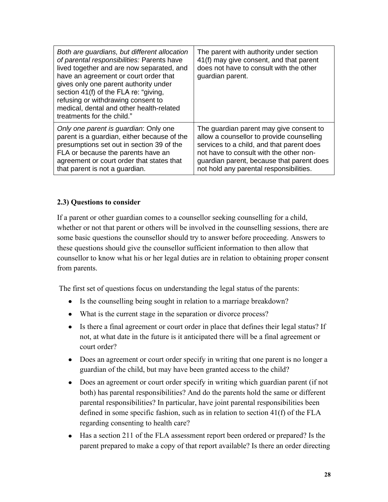| Both are guardians, but different allocation<br>of parental responsibilities: Parents have<br>lived together and are now separated, and<br>have an agreement or court order that<br>gives only one parent authority under<br>section 41(f) of the FLA re: "giving,<br>refusing or withdrawing consent to<br>medical, dental and other health-related<br>treatments for the child." | The parent with authority under section<br>41(f) may give consent, and that parent<br>does not have to consult with the other<br>guardian parent. |
|------------------------------------------------------------------------------------------------------------------------------------------------------------------------------------------------------------------------------------------------------------------------------------------------------------------------------------------------------------------------------------|---------------------------------------------------------------------------------------------------------------------------------------------------|
| Only one parent is guardian: Only one                                                                                                                                                                                                                                                                                                                                              | The guardian parent may give consent to                                                                                                           |
| parent is a guardian, either because of the                                                                                                                                                                                                                                                                                                                                        | allow a counsellor to provide counselling                                                                                                         |
| presumptions set out in section 39 of the                                                                                                                                                                                                                                                                                                                                          | services to a child, and that parent does                                                                                                         |
| FLA or because the parents have an                                                                                                                                                                                                                                                                                                                                                 | not have to consult with the other non-                                                                                                           |
| agreement or court order that states that                                                                                                                                                                                                                                                                                                                                          | guardian parent, because that parent does                                                                                                         |
| that parent is not a guardian.                                                                                                                                                                                                                                                                                                                                                     | not hold any parental responsibilities.                                                                                                           |

## **2.3) Questions to consider**

If a parent or other guardian comes to a counsellor seeking counselling for a child, whether or not that parent or others will be involved in the counselling sessions, there are some basic questions the counsellor should try to answer before proceeding. Answers to these questions should give the counsellor sufficient information to then allow that counsellor to know what his or her legal duties are in relation to obtaining proper consent from parents.

The first set of questions focus on understanding the legal status of the parents:

- Is the counselling being sought in relation to a marriage breakdown?
- What is the current stage in the separation or divorce process?
- Is there a final agreement or court order in place that defines their legal status? If not, at what date in the future is it anticipated there will be a final agreement or court order?
- Does an agreement or court order specify in writing that one parent is no longer a guardian of the child, but may have been granted access to the child?
- Does an agreement or court order specify in writing which guardian parent (if not both) has parental responsibilities? And do the parents hold the same or different parental responsibilities? In particular, have joint parental responsibilities been defined in some specific fashion, such as in relation to section 41(f) of the FLA regarding consenting to health care?
- Has a section 211 of the FLA assessment report been ordered or prepared? Is the parent prepared to make a copy of that report available? Is there an order directing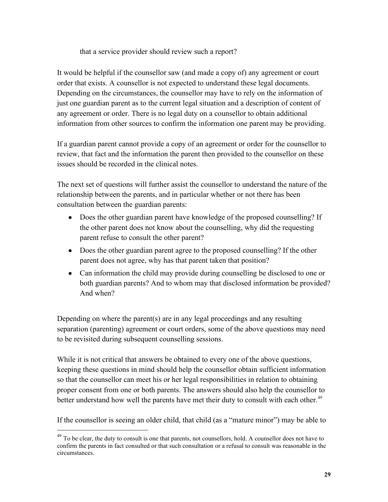that a service provider should review such a report?

It would be helpful if the counsellor saw (and made a copy of) any agreement or court order that exists. A counsellor is not expected to understand these legal documents. Depending on the circumstances, the counsellor may have to rely on the information of just one guardian parent as to the current legal situation and a description of content of any agreement or order. There is no legal duty on a counsellor to obtain additional information from other sources to confirm the information one parent may be providing.

If a guardian parent cannot provide a copy of an agreement or order for the counsellor to review, that fact and the information the parent then provided to the counsellor on these issues should be recorded in the clinical notes.

The next set of questions will further assist the counsellor to understand the nature of the relationship between the parents, and in particular whether or not there has been consultation between the guardian parents:

- Does the other guardian parent have knowledge of the proposed counselling? If the other parent does not know about the counselling, why did the requesting parent refuse to consult the other parent?
- Does the other guardian parent agree to the proposed counselling? If the other parent does not agree, why has that parent taken that position?
- Can information the child may provide during counselling be disclosed to one or both guardian parents? And to whom may that disclosed information be provided? And when?

Depending on where the parent(s) are in any legal proceedings and any resulting separation (parenting) agreement or court orders, some of the above questions may need to be revisited during subsequent counselling sessions.

While it is not critical that answers be obtained to every one of the above questions, keeping these questions in mind should help the counsellor obtain sufficient information so that the counsellor can meet his or her legal responsibilities in relation to obtaining proper consent from one or both parents. The answers should also help the counsellor to better understand how well the parents have met their duty to consult with each other.<sup>49</sup>

If the counsellor is seeing an older child, that child (as a "mature minor") may be able to

<sup>&</sup>lt;sup>49</sup> To be clear, the duty to consult is one that parents, not counsellors, hold. A counsellor does not have to confirm the parents in fact consulted or that such consultation or a refusal to consult was reasonable in the circumstances.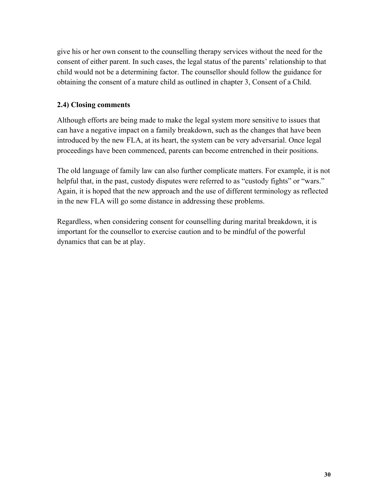give his or her own consent to the counselling therapy services without the need for the consent of either parent. In such cases, the legal status of the parents' relationship to that child would not be a determining factor. The counsellor should follow the guidance for obtaining the consent of a mature child as outlined in chapter 3, Consent of a Child.

## **2.4) Closing comments**

Although efforts are being made to make the legal system more sensitive to issues that can have a negative impact on a family breakdown, such as the changes that have been introduced by the new FLA, at its heart, the system can be very adversarial. Once legal proceedings have been commenced, parents can become entrenched in their positions.

The old language of family law can also further complicate matters. For example, it is not helpful that, in the past, custody disputes were referred to as "custody fights" or "wars." Again, it is hoped that the new approach and the use of different terminology as reflected in the new FLA will go some distance in addressing these problems.

Regardless, when considering consent for counselling during marital breakdown, it is important for the counsellor to exercise caution and to be mindful of the powerful dynamics that can be at play.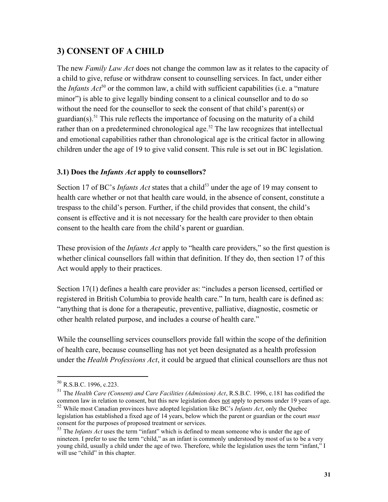## **3) CONSENT OF A CHILD**

The new *Family Law Act* does not change the common law as it relates to the capacity of a child to give, refuse or withdraw consent to counselling services. In fact, under either the *Infants Act*<sup>50</sup> or the common law, a child with sufficient capabilities (i.e. a "mature") minor") is able to give legally binding consent to a clinical counsellor and to do so without the need for the counsellor to seek the consent of that child's parent(s) or guardian(s).<sup>51</sup> This rule reflects the importance of focusing on the maturity of a child rather than on a predetermined chronological age.<sup>52</sup> The law recognizes that intellectual and emotional capabilities rather than chronological age is the critical factor in allowing children under the age of 19 to give valid consent. This rule is set out in BC legislation.

## **3.1) Does the** *Infants Act* **apply to counsellors?**

Section 17 of BC's *Infants Act* states that a child<sup>53</sup> under the age of 19 may consent to health care whether or not that health care would, in the absence of consent, constitute a trespass to the child's person. Further, if the child provides that consent, the child's consent is effective and it is not necessary for the health care provider to then obtain consent to the health care from the child's parent or guardian.

These provision of the *Infants Act* apply to "health care providers," so the first question is whether clinical counsellors fall within that definition. If they do, then section 17 of this Act would apply to their practices.

Section 17(1) defines a health care provider as: "includes a person licensed, certified or registered in British Columbia to provide health care." In turn, health care is defined as: "anything that is done for a therapeutic, preventive, palliative, diagnostic, cosmetic or other health related purpose, and includes a course of health care."

While the counselling services counsellors provide fall within the scope of the definition of health care, because counselling has not yet been designated as a health profession under the *Health Professions Act*, it could be argued that clinical counsellors are thus not

<sup>50</sup> R.S.B.C. 1996, c.223.

<sup>51</sup> The *Health Care (Consent) and Care Facilities (Admission) Act*, R.S.B.C. 1996, c.181 has codified the common law in relation to consent, but this new legislation does not apply to persons under 19 years of age. <sup>52</sup> While most Canadian provinces have adopted legislation like BC's *Infants Act*, only the Quebec

legislation has established a fixed age of 14 years, below which the parent or guardian or the court *must* consent for the purposes of proposed treatment or services.

<sup>&</sup>lt;sup>53</sup> The *Infants Act* uses the term "infant" which is defined to mean someone who is under the age of nineteen. I prefer to use the term "child," as an infant is commonly understood by most of us to be a very young child, usually a child under the age of two. Therefore, while the legislation uses the term "infant," I will use "child" in this chapter.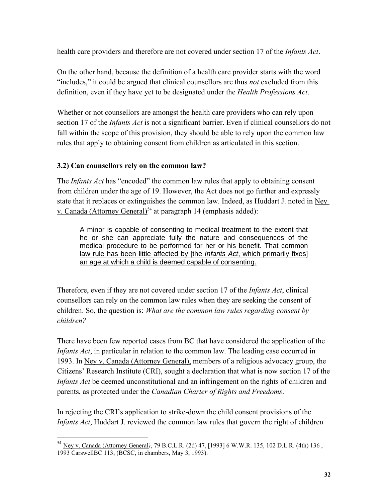health care providers and therefore are not covered under section 17 of the *Infants Act*.

On the other hand, because the definition of a health care provider starts with the word "includes," it could be argued that clinical counsellors are thus *not* excluded from this definition, even if they have yet to be designated under the *Health Professions Act*.

Whether or not counsellors are amongst the health care providers who can rely upon section 17 of the *Infants Act* is not a significant barrier. Even if clinical counsellors do not fall within the scope of this provision, they should be able to rely upon the common law rules that apply to obtaining consent from children as articulated in this section.

## **3.2) Can counsellors rely on the common law?**

 $\overline{a}$ 

The *Infants Act* has "encoded" the common law rules that apply to obtaining consent from children under the age of 19. However, the Act does not go further and expressly state that it replaces or extinguishes the common law. Indeed, as Huddart J. noted in Ney v. Canada (Attorney General)<sup>54</sup> at paragraph 14 (emphasis added):

A minor is capable of consenting to medical treatment to the extent that he or she can appreciate fully the nature and consequences of the medical procedure to be performed for her or his benefit. That common law rule has been little affected by [the *Infants Act*, which primarily fixes] an age at which a child is deemed capable of consenting.

Therefore, even if they are not covered under section 17 of the *Infants Act*, clinical counsellors can rely on the common law rules when they are seeking the consent of children. So, the question is: *What are the common law rules regarding consent by children?*

There have been few reported cases from BC that have considered the application of the *Infants Act*, in particular in relation to the common law. The leading case occurred in 1993. In Ney v. Canada (Attorney General), members of a religious advocacy group, the Citizens' Research Institute (CRI), sought a declaration that what is now section 17 of the *Infants Act* be deemed unconstitutional and an infringement on the rights of children and parents, as protected under the *Canadian Charter of Rights and Freedoms*.

In rejecting the CRI's application to strike-down the child consent provisions of the *Infants Act*, Huddart J. reviewed the common law rules that govern the right of children

<sup>54</sup> Ney v. Canada (Attorney General*)*, 79 B.C.L.R. (2d) 47, [1993] 6 W.W.R. 135, 102 D.L.R. (4th) 136 , 1993 CarswellBC 113, (BCSC, in chambers, May 3, 1993).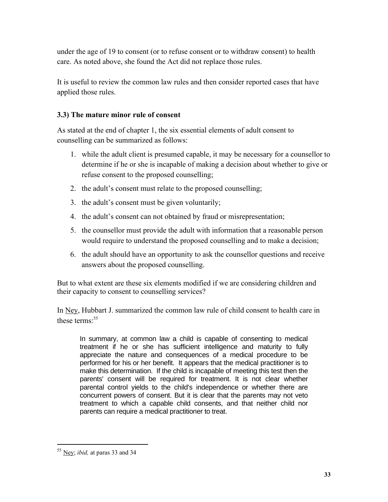under the age of 19 to consent (or to refuse consent or to withdraw consent) to health care. As noted above, she found the Act did not replace those rules.

It is useful to review the common law rules and then consider reported cases that have applied those rules.

### **3.3) The mature minor rule of consent**

As stated at the end of chapter 1, the six essential elements of adult consent to counselling can be summarized as follows:

- 1. while the adult client is presumed capable, it may be necessary for a counsellor to determine if he or she is incapable of making a decision about whether to give or refuse consent to the proposed counselling;
- 2. the adult's consent must relate to the proposed counselling;
- 3. the adult's consent must be given voluntarily;
- 4. the adult's consent can not obtained by fraud or misrepresentation;
- 5. the counsellor must provide the adult with information that a reasonable person would require to understand the proposed counselling and to make a decision;
- 6. the adult should have an opportunity to ask the counsellor questions and receive answers about the proposed counselling.

But to what extent are these six elements modified if we are considering children and their capacity to consent to counselling services?

In Ney, Hubbart J. summarized the common law rule of child consent to health care in these terms<sup>-55</sup>

In summary, at common law a child is capable of consenting to medical treatment if he or she has sufficient intelligence and maturity to fully appreciate the nature and consequences of a medical procedure to be performed for his or her benefit. It appears that the medical practitioner is to make this determination. If the child is incapable of meeting this test then the parents' consent will be required for treatment. It is not clear whether parental control yields to the child's independence or whether there are concurrent powers of consent. But it is clear that the parents may not veto treatment to which a capable child consents, and that neither child nor parents can require a medical practitioner to treat.

<sup>55</sup> Ney; *ibid,* at paras 33 and 34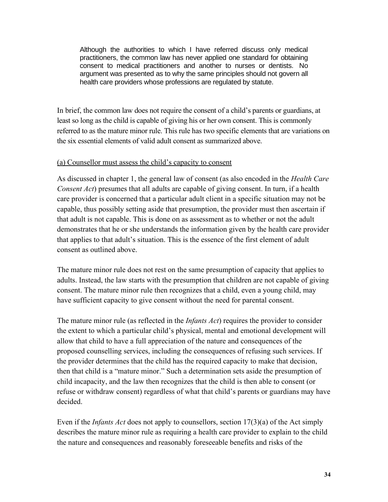Although the authorities to which I have referred discuss only medical practitioners, the common law has never applied one standard for obtaining consent to medical practitioners and another to nurses or dentists. No argument was presented as to why the same principles should not govern all health care providers whose professions are regulated by statute.

In brief, the common law does not require the consent of a child's parents or guardians, at least so long as the child is capable of giving his or her own consent. This is commonly referred to as the mature minor rule. This rule has two specific elements that are variations on the six essential elements of valid adult consent as summarized above.

#### (a) Counsellor must assess the child's capacity to consent

As discussed in chapter 1, the general law of consent (as also encoded in the *Health Care Consent Act*) presumes that all adults are capable of giving consent. In turn, if a health care provider is concerned that a particular adult client in a specific situation may not be capable, thus possibly setting aside that presumption, the provider must then ascertain if that adult is not capable. This is done on as assessment as to whether or not the adult demonstrates that he or she understands the information given by the health care provider that applies to that adult's situation. This is the essence of the first element of adult consent as outlined above.

The mature minor rule does not rest on the same presumption of capacity that applies to adults. Instead, the law starts with the presumption that children are not capable of giving consent. The mature minor rule then recognizes that a child, even a young child, may have sufficient capacity to give consent without the need for parental consent.

The mature minor rule (as reflected in the *Infants Act*) requires the provider to consider the extent to which a particular child's physical, mental and emotional development will allow that child to have a full appreciation of the nature and consequences of the proposed counselling services, including the consequences of refusing such services. If the provider determines that the child has the required capacity to make that decision, then that child is a "mature minor." Such a determination sets aside the presumption of child incapacity, and the law then recognizes that the child is then able to consent (or refuse or withdraw consent) regardless of what that child's parents or guardians may have decided.

Even if the *Infants Act* does not apply to counsellors, section 17(3)(a) of the Act simply describes the mature minor rule as requiring a health care provider to explain to the child the nature and consequences and reasonably foreseeable benefits and risks of the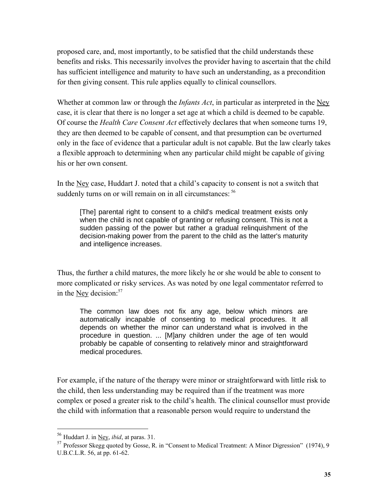proposed care, and, most importantly, to be satisfied that the child understands these benefits and risks. This necessarily involves the provider having to ascertain that the child has sufficient intelligence and maturity to have such an understanding, as a precondition for then giving consent. This rule applies equally to clinical counsellors.

Whether at common law or through the *Infants Act*, in particular as interpreted in the Ney case, it is clear that there is no longer a set age at which a child is deemed to be capable. Of course the *Health Care Consent Act* effectively declares that when someone turns 19, they are then deemed to be capable of consent, and that presumption can be overturned only in the face of evidence that a particular adult is not capable. But the law clearly takes a flexible approach to determining when any particular child might be capable of giving his or her own consent.

In the Ney case, Huddart J. noted that a child's capacity to consent is not a switch that suddenly turns on or will remain on in all circumstances:  $56$ 

[The] parental right to consent to a child's medical treatment exists only when the child is not capable of granting or refusing consent. This is not a sudden passing of the power but rather a gradual relinquishment of the decision-making power from the parent to the child as the latter's maturity and intelligence increases.

Thus, the further a child matures, the more likely he or she would be able to consent to more complicated or risky services. As was noted by one legal commentator referred to in the  $Ney$  decision:<sup>57</sup>

The common law does not fix any age, below which minors are automatically incapable of consenting to medical procedures. It all depends on whether the minor can understand what is involved in the procedure in question. ... [M]any children under the age of ten would probably be capable of consenting to relatively minor and straightforward medical procedures.

For example, if the nature of the therapy were minor or straightforward with little risk to the child, then less understanding may be required than if the treatment was more complex or posed a greater risk to the child's health. The clinical counsellor must provide the child with information that a reasonable person would require to understand the

<sup>56</sup> Huddart J. in Ney, *ibid*, at paras. 31.

<sup>57</sup> Professor Skegg quoted by Gosse, R. in "Consent to Medical Treatment: A Minor Digression" (1974), 9 U.B.C.L.R. 56, at pp. 61-62.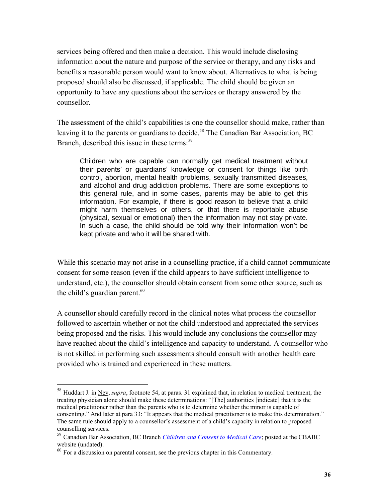services being offered and then make a decision. This would include disclosing information about the nature and purpose of the service or therapy, and any risks and benefits a reasonable person would want to know about. Alternatives to what is being proposed should also be discussed, if applicable. The child should be given an opportunity to have any questions about the services or therapy answered by the counsellor.

The assessment of the child's capabilities is one the counsellor should make, rather than leaving it to the parents or guardians to decide.<sup>58</sup> The Canadian Bar Association, BC Branch, described this issue in these terms:<sup>59</sup>

Children who are capable can normally get medical treatment without their parents' or guardians' knowledge or consent for things like birth control, abortion, mental health problems, sexually transmitted diseases, and alcohol and drug addiction problems. There are some exceptions to this general rule, and in some cases, parents may be able to get this information. For example, if there is good reason to believe that a child might harm themselves or others, or that there is reportable abuse (physical, sexual or emotional) then the information may not stay private. In such a case, the child should be told why their information won't be kept private and who it will be shared with.

While this scenario may not arise in a counselling practice, if a child cannot communicate consent for some reason (even if the child appears to have sufficient intelligence to understand, etc.), the counsellor should obtain consent from some other source, such as the child's guardian parent. $60$ 

A counsellor should carefully record in the clinical notes what process the counsellor followed to ascertain whether or not the child understood and appreciated the services being proposed and the risks. This would include any conclusions the counsellor may have reached about the child's intelligence and capacity to understand. A counsellor who is not skilled in performing such assessments should consult with another health care provided who is trained and experienced in these matters.

<sup>58</sup> Huddart J. in Ney, *supra*, footnote 54, at paras. 31 explained that, in relation to medical treatment, the treating physician alone should make these determinations: "[The] authorities [indicate] that it is the medical practitioner rather than the parents who is to determine whether the minor is capable of consenting." And later at para 33: "It appears that the medical practitioner is to make this determination." The same rule should apply to a counsellor's assessment of a child's capacity in relation to proposed counselling services.

<sup>59</sup> Canadian Bar Association, BC Branch *[Children and Consent to Medical Care](file:///C:/Users/georgebryce/Desktop/BUSINESS/LAW%20ACTIVE%20FILES/CLIENTS%20176%20-%20200/187)%20BCACC%20Commentaries/05)%20Consent/Sources/Consent%20of%20Minors/CBABC%20re%20Children%20and%20Consent%20to%20Medical%20Care.webarchive)*; posted at the CBABC website (undated).

 $60$  For a discussion on parental consent, see the previous chapter in this Commentary.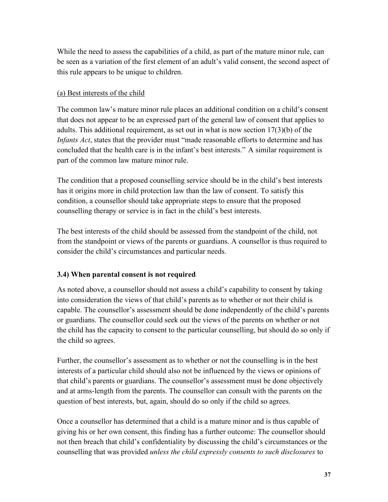While the need to assess the capabilities of a child, as part of the mature minor rule, can be seen as a variation of the first element of an adult's valid consent, the second aspect of this rule appears to be unique to children.

#### (a) Best interests of the child

The common law's mature minor rule places an additional condition on a child's consent that does not appear to be an expressed part of the general law of consent that applies to adults. This additional requirement, as set out in what is now section 17(3)(b) of the *Infants Act*, states that the provider must "made reasonable efforts to determine and has concluded that the health care is in the infant's best interests." A similar requirement is part of the common law mature minor rule.

The condition that a proposed counselling service should be in the child's best interests has it origins more in child protection law than the law of consent. To satisfy this condition, a counsellor should take appropriate steps to ensure that the proposed counselling therapy or service is in fact in the child's best interests.

The best interests of the child should be assessed from the standpoint of the child, not from the standpoint or views of the parents or guardians. A counsellor is thus required to consider the child's circumstances and particular needs.

## **3.4) When parental consent is not required**

As noted above, a counsellor should not assess a child's capability to consent by taking into consideration the views of that child's parents as to whether or not their child is capable. The counsellor's assessment should be done independently of the child's parents or guardians. The counsellor could seek out the views of the parents on whether or not the child has the capacity to consent to the particular counselling, but should do so only if the child so agrees.

Further, the counsellor's assessment as to whether or not the counselling is in the best interests of a particular child should also not be influenced by the views or opinions of that child's parents or guardians. The counsellor's assessment must be done objectively and at arms-length from the parents. The counsellor can consult with the parents on the question of best interests, but, again, should do so only if the child so agrees.

Once a counsellor has determined that a child is a mature minor and is thus capable of giving his or her own consent, this finding has a further outcome: The counsellor should not then breach that child's confidentiality by discussing the child's circumstances or the counselling that was provided *unless the child expressly consents to such disclosures* to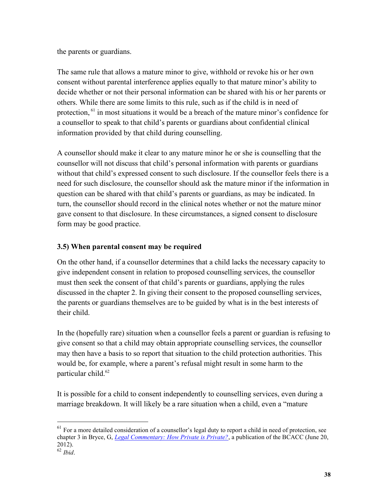the parents or guardians.

The same rule that allows a mature minor to give, withhold or revoke his or her own consent without parental interference applies equally to that mature minor's ability to decide whether or not their personal information can be shared with his or her parents or others. While there are some limits to this rule, such as if the child is in need of protection, <sup>61</sup> in most situations it would be a breach of the mature minor's confidence for a counsellor to speak to that child's parents or guardians about confidential clinical information provided by that child during counselling.

A counsellor should make it clear to any mature minor he or she is counselling that the counsellor will not discuss that child's personal information with parents or guardians without that child's expressed consent to such disclosure. If the counsellor feels there is a need for such disclosure, the counsellor should ask the mature minor if the information in question can be shared with that child's parents or guardians, as may be indicated. In turn, the counsellor should record in the clinical notes whether or not the mature minor gave consent to that disclosure. In these circumstances, a signed consent to disclosure form may be good practice.

## **3.5) When parental consent may be required**

On the other hand, if a counsellor determines that a child lacks the necessary capacity to give independent consent in relation to proposed counselling services, the counsellor must then seek the consent of that child's parents or guardians, applying the rules discussed in the chapter 2. In giving their consent to the proposed counselling services, the parents or guardians themselves are to be guided by what is in the best interests of their child.

In the (hopefully rare) situation when a counsellor feels a parent or guardian is refusing to give consent so that a child may obtain appropriate counselling services, the counsellor may then have a basis to so report that situation to the child protection authorities. This would be, for example, where a parent's refusal might result in some harm to the particular child. 62

It is possible for a child to consent independently to counselling services, even during a marriage breakdown. It will likely be a rare situation when a child, even a "mature

<sup>&</sup>lt;sup>61</sup> For a more detailed consideration of a counsellor's legal duty to report a child in need of protection, see chapter 3 in Bryce, G, *[Legal Commentary: How Private is Private?](http://bc-counsellors.org/wp-content/uploads/2013/03/2012-06-20HowPrivateIsPrivate.pdf)*, a publication of the BCACC (June 20, 2012).

<sup>62</sup> *Ibid*.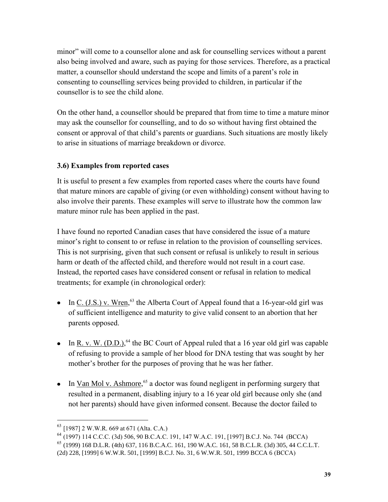minor" will come to a counsellor alone and ask for counselling services without a parent also being involved and aware, such as paying for those services. Therefore, as a practical matter, a counsellor should understand the scope and limits of a parent's role in consenting to counselling services being provided to children, in particular if the counsellor is to see the child alone.

On the other hand, a counsellor should be prepared that from time to time a mature minor may ask the counsellor for counselling, and to do so without having first obtained the consent or approval of that child's parents or guardians. Such situations are mostly likely to arise in situations of marriage breakdown or divorce.

## **3.6) Examples from reported cases**

It is useful to present a few examples from reported cases where the courts have found that mature minors are capable of giving (or even withholding) consent without having to also involve their parents. These examples will serve to illustrate how the common law mature minor rule has been applied in the past.

I have found no reported Canadian cases that have considered the issue of a mature minor's right to consent to or refuse in relation to the provision of counselling services. This is not surprising, given that such consent or refusal is unlikely to result in serious harm or death of the affected child, and therefore would not result in a court case. Instead, the reported cases have considered consent or refusal in relation to medical treatments; for example (in chronological order):

- In  $C_{.}$  (J.S.) v. Wren,<sup>63</sup> the Alberta Court of Appeal found that a 16-year-old girl was of sufficient intelligence and maturity to give valid consent to an abortion that her parents opposed.
- In  $R. v. W. (D.D.)<sup>64</sup>$  the BC Court of Appeal ruled that a 16 year old girl was capable of refusing to provide a sample of her blood for DNA testing that was sought by her mother's brother for the purposes of proving that he was her father.
- In  $Van$  Mol v. Ashmore,<sup>65</sup> a doctor was found negligent in performing surgery that resulted in a permanent, disabling injury to a 16 year old girl because only she (and not her parents) should have given informed consent. Because the doctor failed to

 $^{63}$  [1987] 2 W.W.R. 669 at 671 (Alta. C.A.)

<sup>64</sup> (1997) 114 C.C.C. (3d) 506, 90 B.C.A.C. 191, 147 W.A.C. 191, [1997] B.C.J. No. 744 (BCCA)

<sup>65</sup> (1999) 168 D.L.R. (4th) 637, 116 B.C.A.C. 161, 190 W.A.C. 161, 58 B.C.L.R. (3d) 305, 44 C.C.L.T.

<sup>(2</sup>d) 228, [1999] 6 W.W.R. 501, [1999] B.C.J. No. 31, 6 W.W.R. 501, 1999 BCCA 6 (BCCA)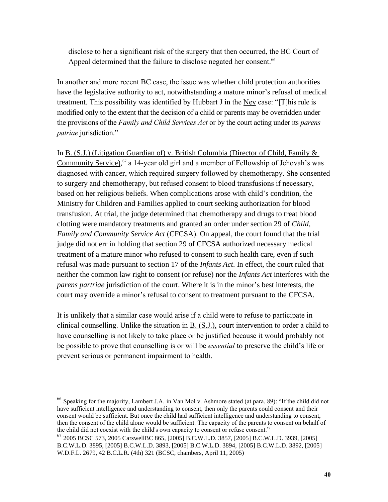disclose to her a significant risk of the surgery that then occurred, the BC Court of Appeal determined that the failure to disclose negated her consent.<sup>66</sup>

In another and more recent BC case, the issue was whether child protection authorities have the legislative authority to act, notwithstanding a mature minor's refusal of medical treatment. This possibility was identified by Hubbart J in the Ney case: "[T]his rule is modified only to the extent that the decision of a child or parents may be overridden under the provisions of the *Family and Child Services Act* or by the court acting under its *parens patriae* jurisdiction."

In B. (S.J.) (Litigation Guardian of) v. British Columbia (Director of Child, Family & Community Service),<sup>67</sup> a 14-year old girl and a member of Fellowship of Jehovah's was diagnosed with cancer, which required surgery followed by chemotherapy. She consented to surgery and chemotherapy, but refused consent to blood transfusions if necessary, based on her religious beliefs. When complications arose with child's condition, the Ministry for Children and Families applied to court seeking authorization for blood transfusion. At trial, the judge determined that chemotherapy and drugs to treat blood clotting were mandatory treatments and granted an order under section 29 of *Child, Family and Community Service Act* (CFCSA). On appeal, the court found that the trial judge did not err in holding that section 29 of CFCSA authorized necessary medical treatment of a mature minor who refused to consent to such health care, even if such refusal was made pursuant to section 17 of the *Infants Act*. In effect, the court ruled that neither the common law right to consent (or refuse) nor the *Infants Act* interferes with the *parens partriae* jurisdiction of the court. Where it is in the minor's best interests, the court may override a minor's refusal to consent to treatment pursuant to the CFCSA.

It is unlikely that a similar case would arise if a child were to refuse to participate in clinical counselling. Unlike the situation in B. (S.J.), court intervention to order a child to have counselling is not likely to take place or be justified because it would probably not be possible to prove that counselling is or will be *essential* to preserve the child's life or prevent serious or permanent impairment to health.

<sup>&</sup>lt;sup>66</sup> Speaking for the majority, Lambert J.A. in <u>Van Mol v. Ashmore</u> stated (at para. 89): "If the child did not have sufficient intelligence and understanding to consent, then only the parents could consent and their consent would be sufficient. But once the child had sufficient intelligence and understanding to consent, then the consent of the child alone would be sufficient. The capacity of the parents to consent on behalf of the child did not coexist with the child's own capacity to consent or refuse consent."

<sup>67</sup> 2005 BCSC 573, 2005 CarswellBC 865, [2005] B.C.W.L.D. 3857, [2005] B.C.W.L.D. 3939, [2005] B.C.W.L.D. 3895, [2005] B.C.W.L.D. 3893, [2005] B.C.W.L.D. 3894, [2005] B.C.W.L.D. 3892, [2005] W.D.F.L. 2679, 42 B.C.L.R. (4th) 321 (BCSC, chambers, April 11, 2005)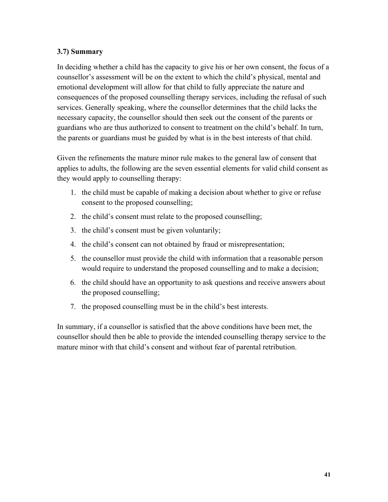## **3.7) Summary**

In deciding whether a child has the capacity to give his or her own consent, the focus of a counsellor's assessment will be on the extent to which the child's physical, mental and emotional development will allow for that child to fully appreciate the nature and consequences of the proposed counselling therapy services, including the refusal of such services. Generally speaking, where the counsellor determines that the child lacks the necessary capacity, the counsellor should then seek out the consent of the parents or guardians who are thus authorized to consent to treatment on the child's behalf. In turn, the parents or guardians must be guided by what is in the best interests of that child.

Given the refinements the mature minor rule makes to the general law of consent that applies to adults, the following are the seven essential elements for valid child consent as they would apply to counselling therapy:

- 1. the child must be capable of making a decision about whether to give or refuse consent to the proposed counselling;
- 2. the child's consent must relate to the proposed counselling;
- 3. the child's consent must be given voluntarily;
- 4. the child's consent can not obtained by fraud or misrepresentation;
- 5. the counsellor must provide the child with information that a reasonable person would require to understand the proposed counselling and to make a decision;
- 6. the child should have an opportunity to ask questions and receive answers about the proposed counselling;
- 7. the proposed counselling must be in the child's best interests.

In summary, if a counsellor is satisfied that the above conditions have been met, the counsellor should then be able to provide the intended counselling therapy service to the mature minor with that child's consent and without fear of parental retribution.